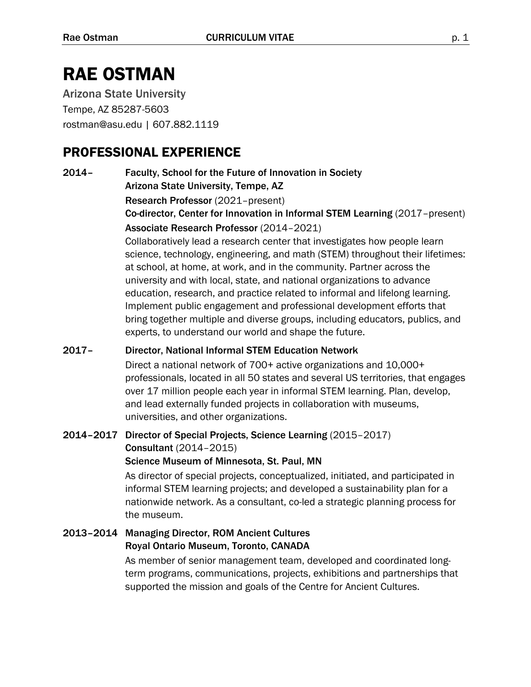# RAE OSTMAN

Arizona State University Tempe, AZ 85287-5603 rostman@asu.edu | 607.882.1119

## PROFESSIONAL EXPERIENCE

2014– Faculty, School for the Future of Innovation in Society Arizona State University, Tempe, AZ

Research Professor (2021–present)

Co-director, Center for Innovation in Informal STEM Learning (2017–present) Associate Research Professor (2014–2021)

Collaboratively lead a research center that investigates how people learn science, technology, engineering, and math (STEM) throughout their lifetimes: at school, at home, at work, and in the community. Partner across the university and with local, state, and national organizations to advance education, research, and practice related to informal and lifelong learning. Implement public engagement and professional development efforts that bring together multiple and diverse groups, including educators, publics, and experts, to understand our world and shape the future.

### 2017– Director, National Informal STEM Education Network

Direct a national network of 700+ active organizations and 10,000+ professionals, located in all 50 states and several US territories, that engages over 17 million people each year in informal STEM learning. Plan, develop, and lead externally funded projects in collaboration with museums, universities, and other organizations.

#### 2014–2017 Director of Special Projects, Science Learning (2015–2017) Consultant (2014–2015) Science Museum of Minnesota, St. Paul, MN

As director of special projects, conceptualized, initiated, and participated in informal STEM learning projects; and developed a sustainability plan for a nationwide network. As a consultant, co-led a strategic planning process for the museum.

#### 2013–2014 Managing Director, ROM Ancient Cultures Royal Ontario Museum, Toronto, CANADA

As member of senior management team, developed and coordinated longterm programs, communications, projects, exhibitions and partnerships that supported the mission and goals of the Centre for Ancient Cultures.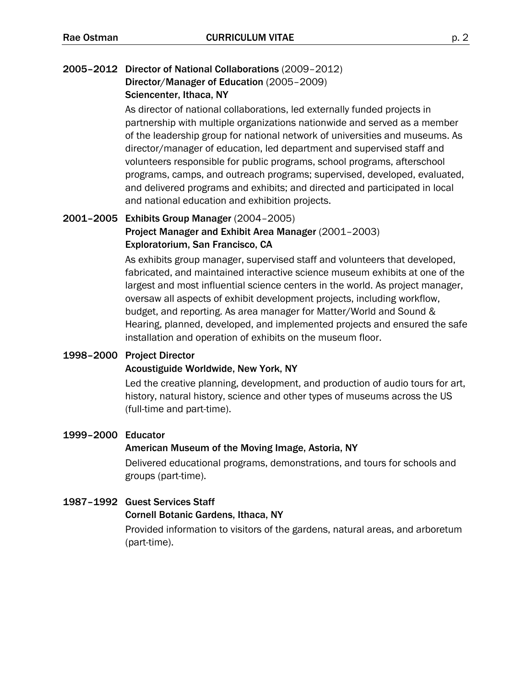### 2005–2012 Director of National Collaborations (2009–2012) Director/Manager of Education (2005–2009)

#### Sciencenter, Ithaca, NY

As director of national collaborations, led externally funded projects in partnership with multiple organizations nationwide and served as a member of the leadership group for national network of universities and museums. As director/manager of education, led department and supervised staff and volunteers responsible for public programs, school programs, afterschool programs, camps, and outreach programs; supervised, developed, evaluated, and delivered programs and exhibits; and directed and participated in local and national education and exhibition projects.

### 2001–2005 Exhibits Group Manager (2004–2005) Project Manager and Exhibit Area Manager (2001–2003)

#### Exploratorium, San Francisco, CA

As exhibits group manager, supervised staff and volunteers that developed, fabricated, and maintained interactive science museum exhibits at one of the largest and most influential science centers in the world. As project manager, oversaw all aspects of exhibit development projects, including workflow, budget, and reporting. As area manager for Matter/World and Sound & Hearing, planned, developed, and implemented projects and ensured the safe installation and operation of exhibits on the museum floor.

#### 1998–2000 Project Director

#### Acoustiguide Worldwide, New York, NY

Led the creative planning, development, and production of audio tours for art, history, natural history, science and other types of museums across the US (full-time and part-time).

#### 1999–2000 Educator

#### American Museum of the Moving Image, Astoria, NY

Delivered educational programs, demonstrations, and tours for schools and groups (part-time).

#### 1987–1992 Guest Services Staff

#### Cornell Botanic Gardens, Ithaca, NY

Provided information to visitors of the gardens, natural areas, and arboretum (part-time).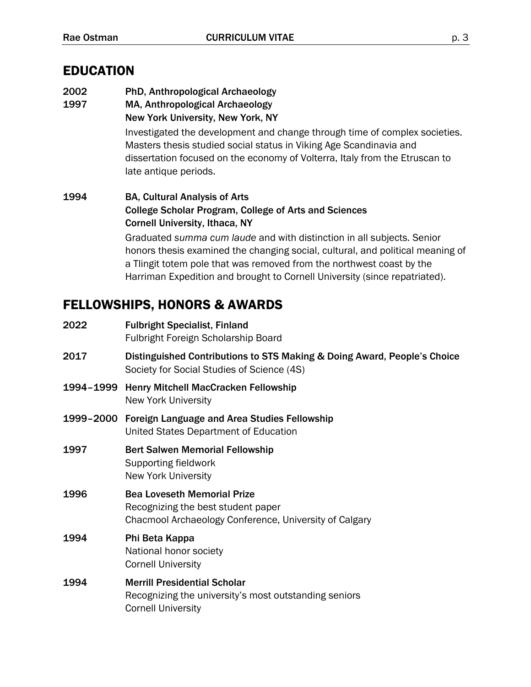## EDUCATION

- 2002 PhD, Anthropological Archaeology
- 1997 MA, Anthropological Archaeology New York University, New York, NY

Investigated the development and change through time of complex societies. Masters thesis studied social status in Viking Age Scandinavia and dissertation focused on the economy of Volterra, Italy from the Etruscan to late antique periods.

1994 BA, Cultural Analysis of Arts College Scholar Program, College of Arts and Sciences Cornell University, Ithaca, NY Graduated *summa cum laude* and with distinction in all subjects. Senior honors thesis examined the changing social, cultural, and political meaning of a Tlingit totem pole that was removed from the northwest coast by the

Harriman Expedition and brought to Cornell University (since repatriated).

## FELLOWSHIPS, HONORS & AWARDS

| 2022 | <b>Fulbright Specialist, Finland</b><br><b>Fulbright Foreign Scholarship Board</b>                                                 |
|------|------------------------------------------------------------------------------------------------------------------------------------|
| 2017 | Distinguished Contributions to STS Making & Doing Award, People's Choice<br>Society for Social Studies of Science (4S)             |
|      | 1994-1999 Henry Mitchell MacCracken Fellowship<br><b>New York University</b>                                                       |
|      | 1999-2000 Foreign Language and Area Studies Fellowship<br>United States Department of Education                                    |
| 1997 | <b>Bert Salwen Memorial Fellowship</b><br>Supporting fieldwork<br><b>New York University</b>                                       |
| 1996 | <b>Bea Loveseth Memorial Prize</b><br>Recognizing the best student paper<br>Chacmool Archaeology Conference, University of Calgary |
| 1994 | Phi Beta Kappa<br>National honor society<br><b>Cornell University</b>                                                              |
| 1994 | <b>Merrill Presidential Scholar</b><br>Recognizing the university's most outstanding seniors<br><b>Cornell University</b>          |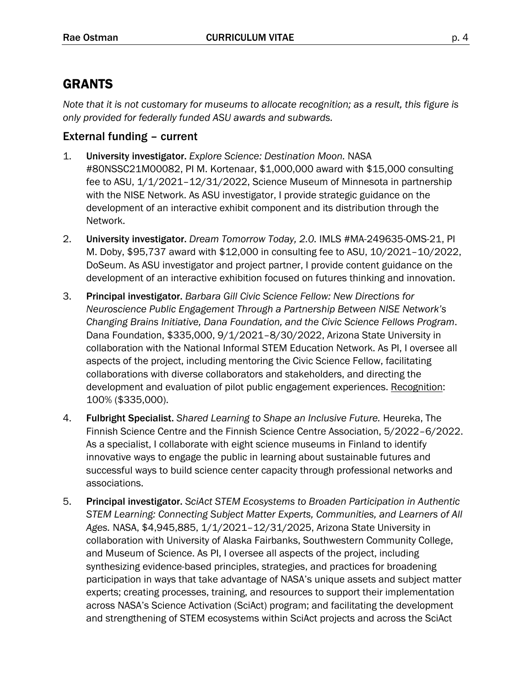## GRANTS

*Note that it is not customary for museums to allocate recognition; as a result, this figure is only provided for federally funded ASU awards and subwards.*

### External funding – current

- 1. University investigator. *Explore Science: Destination Moon.* NASA #80NSSC21M00082, PI M. Kortenaar, \$1,000,000 award with \$15,000 consulting fee to ASU, 1/1/2021–12/31/2022, Science Museum of Minnesota in partnership with the NISE Network. As ASU investigator, I provide strategic guidance on the development of an interactive exhibit component and its distribution through the Network.
- 2. University investigator. *Dream Tomorrow Today, 2.0.* IMLS #MA-249635-OMS-21, PI M. Doby, \$95,737 award with \$12,000 in consulting fee to ASU, 10/2021–10/2022, DoSeum. As ASU investigator and project partner, I provide content guidance on the development of an interactive exhibition focused on futures thinking and innovation.
- 3. Principal investigator. *Barbara Gill Civic Science Fellow: New Directions for Neuroscience Public Engagement Through a Partnership Between NISE Network's Changing Brains Initiative, Dana Foundation, and the Civic Science Fellows Program*. Dana Foundation, \$335,000, 9/1/2021–8/30/2022, Arizona State University in collaboration with the National Informal STEM Education Network. As PI, I oversee all aspects of the project, including mentoring the Civic Science Fellow, facilitating collaborations with diverse collaborators and stakeholders, and directing the development and evaluation of pilot public engagement experiences. Recognition: 100% (\$335,000).
- 4. Fulbright Specialist. *Shared Learning to Shape an Inclusive Future.* Heureka, The Finnish Science Centre and the Finnish Science Centre Association, 5/2022–6/2022. As a specialist, I collaborate with eight science museums in Finland to identify innovative ways to engage the public in learning about sustainable futures and successful ways to build science center capacity through professional networks and associations.
- 5. Principal investigator. *SciAct STEM Ecosystems to Broaden Participation in Authentic STEM Learning: Connecting Subject Matter Experts, Communities, and Learners of All Ages.* NASA, \$4,945,885, 1/1/2021–12/31/2025, Arizona State University in collaboration with University of Alaska Fairbanks, Southwestern Community College, and Museum of Science. As PI, I oversee all aspects of the project, including synthesizing evidence-based principles, strategies, and practices for broadening participation in ways that take advantage of NASA's unique assets and subject matter experts; creating processes, training, and resources to support their implementation across NASA's Science Activation (SciAct) program; and facilitating the development and strengthening of STEM ecosystems within SciAct projects and across the SciAct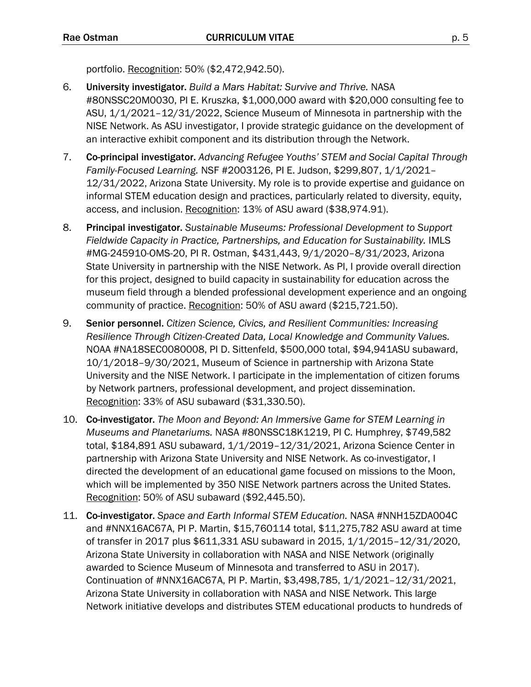portfolio. Recognition: 50% (\$2,472,942.50).

- 6. University investigator. *Build a Mars Habitat: Survive and Thrive.* NASA #80NSSC20M0030, PI E. Kruszka, \$1,000,000 award with \$20,000 consulting fee to ASU, 1/1/2021–12/31/2022, Science Museum of Minnesota in partnership with the NISE Network. As ASU investigator, I provide strategic guidance on the development of an interactive exhibit component and its distribution through the Network.
- 7. Co-principal investigator. *Advancing Refugee Youths' STEM and Social Capital Through Family-Focused Learning.* NSF #2003126, PI E. Judson, \$299,807, 1/1/2021– 12/31/2022, Arizona State University. My role is to provide expertise and guidance on informal STEM education design and practices, particularly related to diversity, equity, access, and inclusion. Recognition: 13% of ASU award (\$38,974.91).
- 8. Principal investigator. *Sustainable Museums: Professional Development to Support Fieldwide Capacity in Practice, Partnerships, and Education for Sustainability.* IMLS #MG-245910-OMS-20, PI R. Ostman, \$431,443, 9/1/2020–8/31/2023, Arizona State University in partnership with the NISE Network. As PI, I provide overall direction for this project, designed to build capacity in sustainability for education across the museum field through a blended professional development experience and an ongoing community of practice. Recognition: 50% of ASU award (\$215,721.50).
- 9. Senior personnel. *Citizen Science, Civics, and Resilient Communities: Increasing Resilience Through Citizen-Created Data, Local Knowledge and Community Values.*  NOAA #NA18SEC0080008, PI D. Sittenfeld, \$500,000 total, \$94,941ASU subaward, 10/1/2018–9/30/2021, Museum of Science in partnership with Arizona State University and the NISE Network. I participate in the implementation of citizen forums by Network partners, professional development, and project dissemination. Recognition: 33% of ASU subaward (\$31,330.50).
- 10. Co-investigator. *The Moon and Beyond: An Immersive Game for STEM Learning in Museums and Planetariums.* NASA #80NSSC18K1219, PI C. Humphrey, \$749,582 total, \$184,891 ASU subaward, 1/1/2019–12/31/2021, Arizona Science Center in partnership with Arizona State University and NISE Network. As co-investigator, I directed the development of an educational game focused on missions to the Moon, which will be implemented by 350 NISE Network partners across the United States. Recognition: 50% of ASU subaward (\$92,445.50).
- 11. Co-investigator. *Space and Earth Informal STEM Education.* NASA #NNH15ZDA004C and #NNX16AC67A, PI P. Martin, \$15,760114 total, \$11,275,782 ASU award at time of transfer in 2017 plus \$611,331 ASU subaward in 2015, 1/1/2015–12/31/2020, Arizona State University in collaboration with NASA and NISE Network (originally awarded to Science Museum of Minnesota and transferred to ASU in 2017). Continuation of #NNX16AC67A, PI P. Martin, \$3,498,785, 1/1/2021–12/31/2021, Arizona State University in collaboration with NASA and NISE Network. This large Network initiative develops and distributes STEM educational products to hundreds of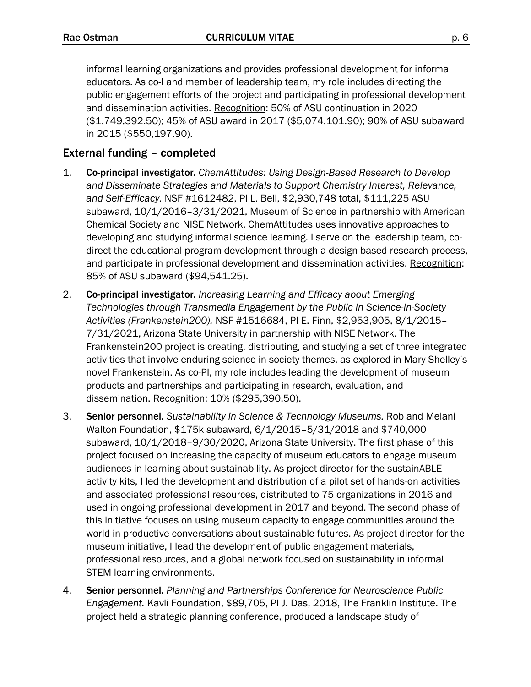informal learning organizations and provides professional development for informal educators. As co-I and member of leadership team, my role includes directing the public engagement efforts of the project and participating in professional development and dissemination activities. Recognition: 50% of ASU continuation in 2020 (\$1,749,392.50); 45% of ASU award in 2017 (\$5,074,101.90); 90% of ASU subaward in 2015 (\$550,197.90).

### External funding – completed

- 1. Co-principal investigator. *ChemAttitudes: Using Design-Based Research to Develop and Disseminate Strategies and Materials to Support Chemistry Interest, Relevance, and Self-Efficacy.* NSF #1612482, PI L. Bell, \$2,930,748 total, \$111,225 ASU subaward, 10/1/2016–3/31/2021, Museum of Science in partnership with American Chemical Society and NISE Network. ChemAttitudes uses innovative approaches to developing and studying informal science learning. I serve on the leadership team, codirect the educational program development through a design-based research process, and participate in professional development and dissemination activities. Recognition: 85% of ASU subaward (\$94,541.25).
- 2. Co-principal investigator. *Increasing Learning and Efficacy about Emerging Technologies through Transmedia Engagement by the Public in Science-in-Society Activities (Frankenstein200).* NSF #1516684, PI E. Finn, \$2,953,905, 8/1/2015– 7/31/2021, Arizona State University in partnership with NISE Network. The Frankenstein200 project is creating, distributing, and studying a set of three integrated activities that involve enduring science-in-society themes, as explored in Mary Shelley's novel Frankenstein. As co-PI, my role includes leading the development of museum products and partnerships and participating in research, evaluation, and dissemination. Recognition: 10% (\$295,390.50).
- 3. Senior personnel. *Sustainability in Science & Technology Museums.* Rob and Melani Walton Foundation, \$175k subaward, 6/1/2015–5/31/2018 and \$740,000 subaward, 10/1/2018–9/30/2020, Arizona State University. The first phase of this project focused on increasing the capacity of museum educators to engage museum audiences in learning about sustainability. As project director for the sustainABLE activity kits, I led the development and distribution of a pilot set of hands-on activities and associated professional resources, distributed to 75 organizations in 2016 and used in ongoing professional development in 2017 and beyond. The second phase of this initiative focuses on using museum capacity to engage communities around the world in productive conversations about sustainable futures. As project director for the museum initiative, I lead the development of public engagement materials, professional resources, and a global network focused on sustainability in informal STEM learning environments.
- 4. Senior personnel. *Planning and Partnerships Conference for Neuroscience Public Engagement.* Kavli Foundation, \$89,705, PI J. Das, 2018, The Franklin Institute. The project held a strategic planning conference, produced a landscape study of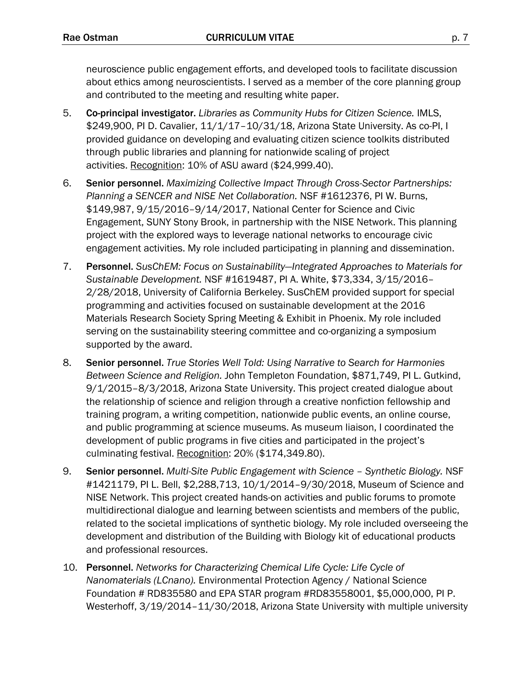neuroscience public engagement efforts, and developed tools to facilitate discussion about ethics among neuroscientists. I served as a member of the core planning group and contributed to the meeting and resulting white paper.

- 5. Co-principal investigator. *Libraries as Community Hubs for Citizen Science.* IMLS, \$249,900, PI D. Cavalier, 11/1/17–10/31/18, Arizona State University. As co-PI, I provided guidance on developing and evaluating citizen science toolkits distributed through public libraries and planning for nationwide scaling of project activities. Recognition: 10% of ASU award (\$24,999.40).
- 6. Senior personnel. *Maximizing Collective Impact Through Cross-Sector Partnerships: Planning a SENCER and NISE Net Collaboration.* NSF #1612376, PI W. Burns, \$149,987, 9/15/2016–9/14/2017, National Center for Science and Civic Engagement, SUNY Stony Brook, in partnership with the NISE Network. This planning project with the explored ways to leverage national networks to encourage civic engagement activities. My role included participating in planning and dissemination.
- 7. Personnel. *SusChEM: Focus on Sustainability—Integrated Approaches to Materials for Sustainable Development.* NSF #1619487, PI A. White, \$73,334, 3/15/2016– 2/28/2018, University of California Berkeley. SusChEM provided support for special programming and activities focused on sustainable development at the 2016 Materials Research Society Spring Meeting & Exhibit in Phoenix. My role included serving on the sustainability steering committee and co-organizing a symposium supported by the award.
- 8. Senior personnel. *True Stories Well Told: Using Narrative to Search for Harmonies Between Science and Religion.* John Templeton Foundation, \$871,749, PI L. Gutkind, 9/1/2015–8/3/2018, Arizona State University. This project created dialogue about the relationship of science and religion through a creative nonfiction fellowship and training program, a writing competition, nationwide public events, an online course, and public programming at science museums. As museum liaison, I coordinated the development of public programs in five cities and participated in the project's culminating festival. Recognition: 20% (\$174,349.80).
- 9. Senior personnel. *Multi-Site Public Engagement with Science – Synthetic Biology.* NSF #1421179, PI L. Bell, \$2,288,713, 10/1/2014–9/30/2018, Museum of Science and NISE Network. This project created hands-on activities and public forums to promote multidirectional dialogue and learning between scientists and members of the public, related to the societal implications of synthetic biology. My role included overseeing the development and distribution of the Building with Biology kit of educational products and professional resources.
- 10. Personnel. *Networks for Characterizing Chemical Life Cycle: Life Cycle of Nanomaterials (LCnano).* Environmental Protection Agency / National Science Foundation # RD835580 and EPA STAR program #RD83558001, \$5,000,000, PI P. Westerhoff, 3/19/2014–11/30/2018, Arizona State University with multiple university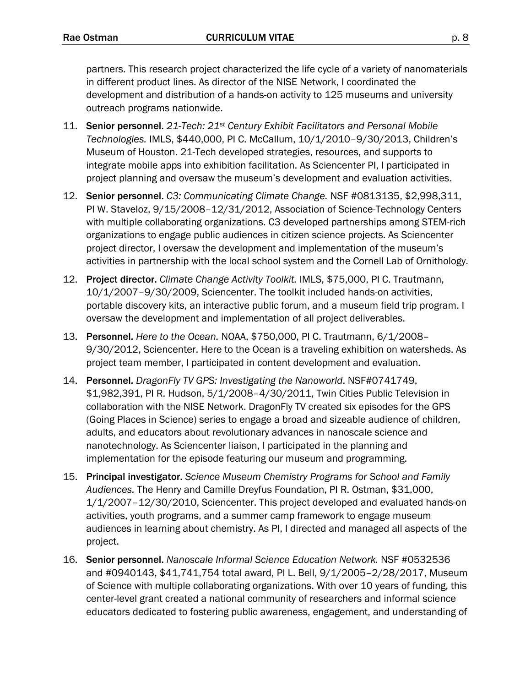partners. This research project characterized the life cycle of a variety of nanomaterials in different product lines. As director of the NISE Network, I coordinated the development and distribution of a hands-on activity to 125 museums and university outreach programs nationwide.

- 11. Senior personnel. *21-Tech: 21st Century Exhibit Facilitators and Personal Mobile Technologies.* IMLS, \$440,000, PI C. McCallum, 10/1/2010–9/30/2013, Children's Museum of Houston. 21-Tech developed strategies, resources, and supports to integrate mobile apps into exhibition facilitation. As Sciencenter PI, I participated in project planning and oversaw the museum's development and evaluation activities.
- 12. Senior personnel. *C3: Communicating Climate Change.* NSF #0813135, \$2,998,311, PI W. Staveloz, 9/15/2008–12/31/2012, Association of Science-Technology Centers with multiple collaborating organizations. C3 developed partnerships among STEM-rich organizations to engage public audiences in citizen science projects. As Sciencenter project director, I oversaw the development and implementation of the museum's activities in partnership with the local school system and the Cornell Lab of Ornithology.
- 12. Project director. *Climate Change Activity Toolkit.* IMLS, \$75,000, PI C. Trautmann, 10/1/2007–9/30/2009, Sciencenter. The toolkit included hands-on activities, portable discovery kits, an interactive public forum, and a museum field trip program. I oversaw the development and implementation of all project deliverables.
- 13. Personnel. *Here to the Ocean.* NOAA, \$750,000, PI C. Trautmann, 6/1/2008– 9/30/2012, Sciencenter. Here to the Ocean is a traveling exhibition on watersheds. As project team member, I participated in content development and evaluation.
- 14. Personnel. *DragonFly TV GPS: Investigating the Nanoworld*. NSF#0741749, \$1,982,391, PI R. Hudson, 5/1/2008–4/30/2011, Twin Cities Public Television in collaboration with the NISE Network. DragonFly TV created six episodes for the GPS (Going Places in Science) series to engage a broad and sizeable audience of children, adults, and educators about revolutionary advances in nanoscale science and nanotechnology. As Sciencenter liaison, I participated in the planning and implementation for the episode featuring our museum and programming.
- 15. Principal investigator. *Science Museum Chemistry Programs for School and Family Audiences.* The Henry and Camille Dreyfus Foundation, PI R. Ostman, \$31,000, 1/1/2007–12/30/2010, Sciencenter. This project developed and evaluated hands-on activities, youth programs, and a summer camp framework to engage museum audiences in learning about chemistry. As PI, I directed and managed all aspects of the project.
- 16. Senior personnel. *Nanoscale Informal Science Education Network.* NSF #0532536 and #0940143, \$41,741,754 total award, PI L. Bell, 9/1/2005–2/28/2017, Museum of Science with multiple collaborating organizations. With over 10 years of funding, this center-level grant created a national community of researchers and informal science educators dedicated to fostering public awareness, engagement, and understanding of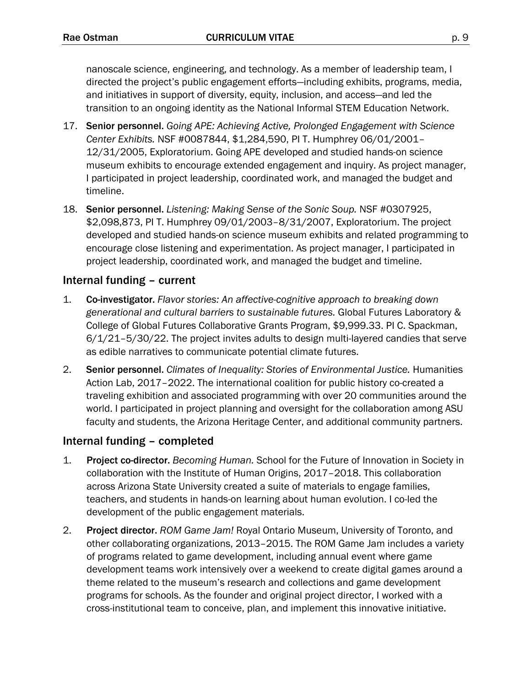nanoscale science, engineering, and technology. As a member of leadership team, I directed the project's public engagement efforts—including exhibits, programs, media, and initiatives in support of diversity, equity, inclusion, and access—and led the transition to an ongoing identity as the National Informal STEM Education Network.

- 17. Senior personnel. *Going APE: Achieving Active, Prolonged Engagement with Science Center Exhibits.* NSF #0087844, \$1,284,590, PI T. Humphrey 06/01/2001– 12/31/2005, Exploratorium. Going APE developed and studied hands-on science museum exhibits to encourage extended engagement and inquiry. As project manager, I participated in project leadership, coordinated work, and managed the budget and timeline.
- 18. Senior personnel. *Listening: Making Sense of the Sonic Soup.* NSF #0307925, \$2,098,873, PI T. Humphrey 09/01/2003–8/31/2007, Exploratorium. The project developed and studied hands-on science museum exhibits and related programming to encourage close listening and experimentation. As project manager, I participated in project leadership, coordinated work, and managed the budget and timeline.

### Internal funding – current

- 1. Co-investigator. *Flavor stories: An affective-cognitive approach to breaking down generational and cultural barriers to sustainable futures.* Global Futures Laboratory & College of Global Futures Collaborative Grants Program, \$9,999.33. PI C. Spackman, 6/1/21–5/30/22. The project invites adults to design multi-layered candies that serve as edible narratives to communicate potential climate futures.
- 2. Senior personnel. *Climates of Inequality: Stories of Environmental Justice.* Humanities Action Lab, 2017–2022. The international coalition for public history co-created a traveling exhibition and associated programming with over 20 communities around the world. I participated in project planning and oversight for the collaboration among ASU faculty and students, the Arizona Heritage Center, and additional community partners.

### Internal funding – completed

- 1. Project co-director. *Becoming Human.* School for the Future of Innovation in Society in collaboration with the Institute of Human Origins, 2017–2018. This collaboration across Arizona State University created a suite of materials to engage families, teachers, and students in hands-on learning about human evolution. I co-led the development of the public engagement materials.
- 2. Project director. *ROM Game Jam!* Royal Ontario Museum, University of Toronto, and other collaborating organizations, 2013–2015. The ROM Game Jam includes a variety of programs related to game development, including annual event where game development teams work intensively over a weekend to create digital games around a theme related to the museum's research and collections and game development programs for schools. As the founder and original project director, I worked with a cross-institutional team to conceive, plan, and implement this innovative initiative.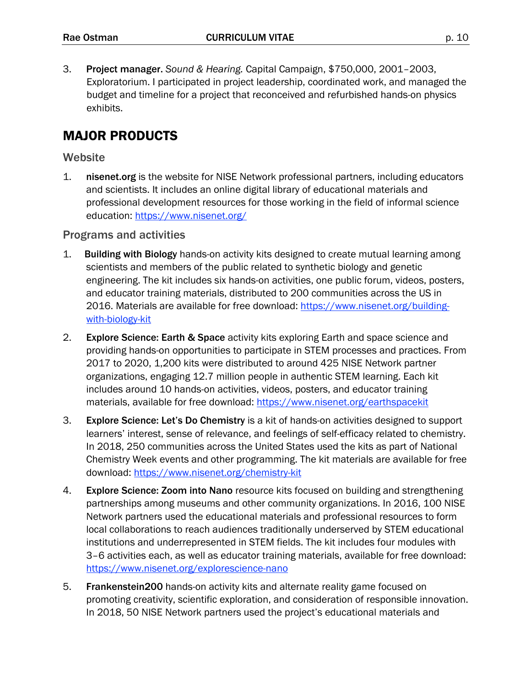3. Project manager. *Sound & Hearing.* Capital Campaign, \$750,000, 2001–2003, Exploratorium. I participated in project leadership, coordinated work, and managed the budget and timeline for a project that reconceived and refurbished hands-on physics exhibits.

### MAJOR PRODUCTS

#### **Website**

1. nisenet.org is the website for NISE Network professional partners, including educators and scientists. It includes an online digital library of educational materials and professional development resources for those working in the field of informal science education: https://www.nisenet.org/

#### Programs and activities

- 1. Building with Biology hands-on activity kits designed to create mutual learning among scientists and members of the public related to synthetic biology and genetic engineering. The kit includes six hands-on activities, one public forum, videos, posters, and educator training materials, distributed to 200 communities across the US in 2016. Materials are available for free download: https://www.nisenet.org/buildingwith-biology-kit
- 2. Explore Science: Earth & Space activity kits exploring Earth and space science and providing hands-on opportunities to participate in STEM processes and practices. From 2017 to 2020, 1,200 kits were distributed to around 425 NISE Network partner organizations, engaging 12.7 million people in authentic STEM learning. Each kit includes around 10 hands-on activities, videos, posters, and educator training materials, available for free download: https://www.nisenet.org/earthspacekit
- 3. Explore Science: Let's Do Chemistry is a kit of hands-on activities designed to support learners' interest, sense of relevance, and feelings of self-efficacy related to chemistry. In 2018, 250 communities across the United States used the kits as part of National Chemistry Week events and other programming. The kit materials are available for free download: https://www.nisenet.org/chemistry-kit
- 4. Explore Science: Zoom into Nano resource kits focused on building and strengthening partnerships among museums and other community organizations. In 2016, 100 NISE Network partners used the educational materials and professional resources to form local collaborations to reach audiences traditionally underserved by STEM educational institutions and underrepresented in STEM fields. The kit includes four modules with 3–6 activities each, as well as educator training materials, available for free download: https://www.nisenet.org/explorescience-nano
- 5. Frankenstein200 hands-on activity kits and alternate reality game focused on promoting creativity, scientific exploration, and consideration of responsible innovation. In 2018, 50 NISE Network partners used the project's educational materials and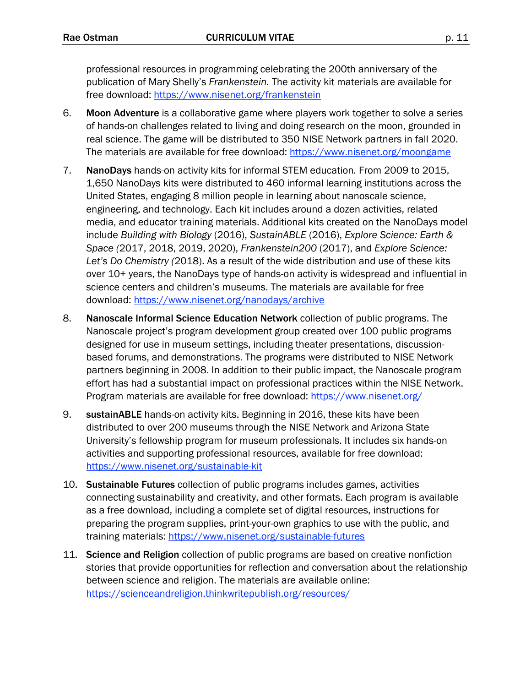professional resources in programming celebrating the 200th anniversary of the publication of Mary Shelly's *Frankenstein.* The activity kit materials are available for free download: https://www.nisenet.org/frankenstein

- 6. Moon Adventure is a collaborative game where players work together to solve a series of hands-on challenges related to living and doing research on the moon, grounded in real science.The game will be distributed to 350 NISE Network partners in fall 2020. The materials are available for free download: https://www.nisenet.org/moongame
- 7. NanoDays hands-on activity kits for informal STEM education*.* From 2009 to 2015, 1,650 NanoDays kits were distributed to 460 informal learning institutions across the United States, engaging 8 million people in learning about nanoscale science, engineering, and technology. Each kit includes around a dozen activities, related media, and educator training materials. Additional kits created on the NanoDays model include *Building with Biology* (2016), *SustainABLE* (2016), *Explore Science: Earth & Space (*2017, 2018, 2019, 2020), *Frankenstein200* (2017), and *Explore Science: Let's Do Chemistry (*2018). As a result of the wide distribution and use of these kits over 10+ years, the NanoDays type of hands-on activity is widespread and influential in science centers and children's museums. The materials are available for free download: https://www.nisenet.org/nanodays/archive
- 8. Nanoscale Informal Science Education Network collection of public programs. The Nanoscale project's program development group created over 100 public programs designed for use in museum settings, including theater presentations, discussionbased forums, and demonstrations. The programs were distributed to NISE Network partners beginning in 2008. In addition to their public impact, the Nanoscale program effort has had a substantial impact on professional practices within the NISE Network. Program materials are available for free download: https://www.nisenet.org/
- 9. sustainABLE hands-on activity kits. Beginning in 2016, these kits have been distributed to over 200 museums through the NISE Network and Arizona State University's fellowship program for museum professionals. It includes six hands-on activities and supporting professional resources, available for free download: https://www.nisenet.org/sustainable-kit
- 10. Sustainable Futures collection of public programs includes games, activities connecting sustainability and creativity, and other formats. Each program is available as a free download, including a complete set of digital resources, instructions for preparing the program supplies, print-your-own graphics to use with the public, and training materials: https://www.nisenet.org/sustainable-futures
- 11. Science and Religion collection of public programs are based on creative nonfiction stories that provide opportunities for reflection and conversation about the relationship between science and religion. The materials are available online: https://scienceandreligion.thinkwritepublish.org/resources/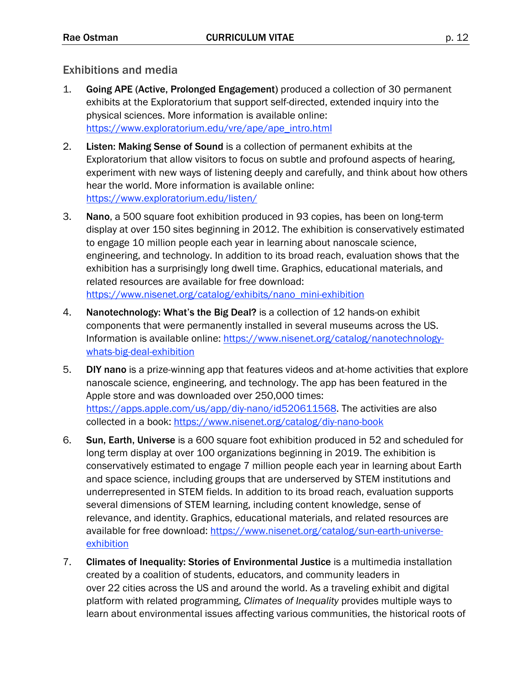### Exhibitions and media

- 1. Going APE (Active, Prolonged Engagement) produced a collection of 30 permanent exhibits at the Exploratorium that support self-directed, extended inquiry into the physical sciences. More information is available online: https://www.exploratorium.edu/vre/ape/ape\_intro.html
- 2. Listen: Making Sense of Sound is a collection of permanent exhibits at the Exploratorium that allow visitors to focus on subtle and profound aspects of hearing, experiment with new ways of listening deeply and carefully, and think about how others hear the world. More information is available online: https://www.exploratorium.edu/listen/
- 3. Nano, a 500 square foot exhibition produced in 93 copies, has been on long-term display at over 150 sites beginning in 2012. The exhibition is conservatively estimated to engage 10 million people each year in learning about nanoscale science, engineering, and technology. In addition to its broad reach, evaluation shows that the exhibition has a surprisingly long dwell time. Graphics, educational materials, and related resources are available for free download: https://www.nisenet.org/catalog/exhibits/nano\_mini-exhibition
- 4. Nanotechnology: What's the Big Deal? is a collection of 12 hands-on exhibit components that were permanently installed in several museums across the US. Information is available online: https://www.nisenet.org/catalog/nanotechnologywhats-big-deal-exhibition
- 5. DIY nano is a prize-winning app that features videos and at-home activities that explore nanoscale science, engineering, and technology. The app has been featured in the Apple store and was downloaded over 250,000 times: https://apps.apple.com/us/app/diy-nano/id520611568. The activities are also collected in a book: https://www.nisenet.org/catalog/diy-nano-book
- 6. Sun, Earth, Universe is a 600 square foot exhibition produced in 52 and scheduled for long term display at over 100 organizations beginning in 2019. The exhibition is conservatively estimated to engage 7 million people each year in learning about Earth and space science, including groups that are underserved by STEM institutions and underrepresented in STEM fields. In addition to its broad reach, evaluation supports several dimensions of STEM learning, including content knowledge, sense of relevance, and identity. Graphics, educational materials, and related resources are available for free download: https://www.nisenet.org/catalog/sun-earth-universeexhibition
- 7. Climates of Inequality: Stories of Environmental Justice is a multimedia installation created by a coalition of students, educators, and community leaders in over 22 cities across the US and around the world. As a traveling exhibit and digital platform with related programming, *Climates of Inequality* provides multiple ways to learn about environmental issues affecting various communities, the historical roots of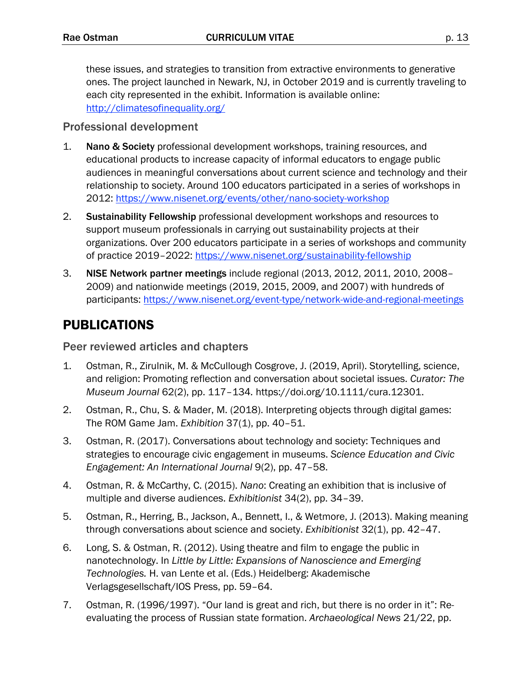these issues, and strategies to transition from extractive environments to generative ones. The project launched in Newark, NJ, in October 2019 and is currently traveling to each city represented in the exhibit. Information is available online: http://climatesofinequality.org/

#### Professional development

- 1. Nano & Society professional development workshops, training resources, and educational products to increase capacity of informal educators to engage public audiences in meaningful conversations about current science and technology and their relationship to society. Around 100 educators participated in a series of workshops in 2012: https://www.nisenet.org/events/other/nano-society-workshop
- 2. Sustainability Fellowship professional development workshops and resources to support museum professionals in carrying out sustainability projects at their organizations. Over 200 educators participate in a series of workshops and community of practice 2019–2022: https://www.nisenet.org/sustainability-fellowship
- 3. NISE Network partner meetings include regional (2013, 2012, 2011, 2010, 2008– 2009) and nationwide meetings (2019, 2015, 2009, and 2007) with hundreds of participants: https://www.nisenet.org/event-type/network-wide-and-regional-meetings

## PUBLICATIONS

Peer reviewed articles and chapters

- 1. Ostman, R., Zirulnik, M. & McCullough Cosgrove, J. (2019, April). Storytelling, science, and religion: Promoting reflection and conversation about societal issues. *Curator: The Museum Journal* 62(2), pp. 117–134*.* https://doi.org/10.1111/cura.12301.
- 2. Ostman, R., Chu, S. & Mader, M. (2018). Interpreting objects through digital games: The ROM Game Jam. *Exhibition* 37(1), pp. 40–51.
- 3. Ostman, R. (2017). Conversations about technology and society: Techniques and strategies to encourage civic engagement in museums. *Science Education and Civic Engagement: An International Journal* 9(2), pp. 47–58.
- 4. Ostman, R. & McCarthy, C. (2015). *Nano*: Creating an exhibition that is inclusive of multiple and diverse audiences. *Exhibitionist* 34(2), pp. 34–39.
- 5. Ostman, R., Herring, B., Jackson, A., Bennett, I., & Wetmore, J. (2013). Making meaning through conversations about science and society. *Exhibitionist* 32(1), pp. 42–47.
- 6. Long, S. & Ostman, R. (2012). Using theatre and film to engage the public in nanotechnology. In *Little by Little: Expansions of Nanoscience and Emerging Technologies.* H. van Lente et al. (Eds.) Heidelberg: Akademische Verlagsgesellschaft/IOS Press, pp. 59–64.
- 7. Ostman, R. (1996/1997). "Our land is great and rich, but there is no order in it": Reevaluating the process of Russian state formation. *Archaeological News* 21/22, pp.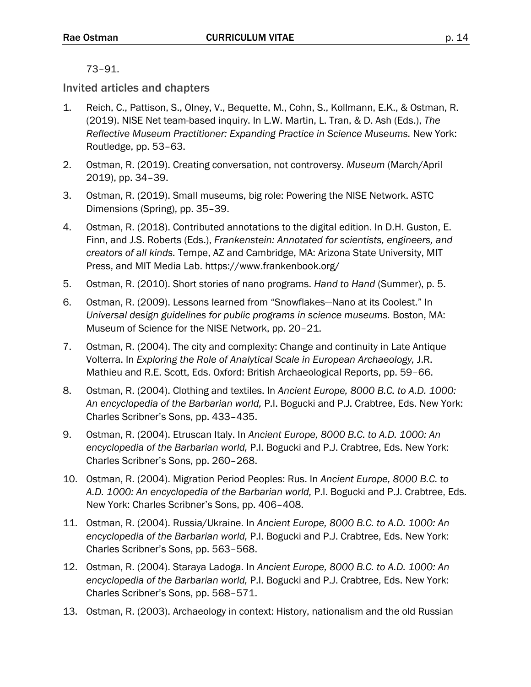#### 73–91.

#### Invited articles and chapters

- 1. Reich, C., Pattison, S., Olney, V., Bequette, M., Cohn, S., Kollmann, E.K., & Ostman, R. (2019). NISE Net team-based inquiry. In L.W. Martin, L. Tran, & D. Ash (Eds.), *The Reflective Museum Practitioner: Expanding Practice in Science Museums.* New York: Routledge, pp. 53–63.
- 2. Ostman, R. (2019). Creating conversation, not controversy. *Museum* (March/April 2019), pp. 34–39.
- 3. Ostman, R. (2019). Small museums, big role: Powering the NISE Network. ASTC Dimensions (Spring), pp. 35–39.
- 4. Ostman, R. (2018). Contributed annotations to the digital edition. In D.H. Guston, E. Finn, and J.S. Roberts (Eds.), *Frankenstein: Annotated for scientists, engineers, and creators of all kinds.* Tempe, AZ and Cambridge, MA: Arizona State University, MIT Press, and MIT Media Lab. https://www.frankenbook.org/
- 5. Ostman, R. (2010). Short stories of nano programs. *Hand to Hand* (Summer), p. 5.
- 6. Ostman, R. (2009). Lessons learned from "Snowflakes—Nano at its Coolest." In *Universal design guidelines for public programs in science museums.* Boston, MA: Museum of Science for the NISE Network, pp. 20–21.
- 7. Ostman, R. (2004). The city and complexity: Change and continuity in Late Antique Volterra. In *Exploring the Role of Analytical Scale in European Archaeology,* J.R. Mathieu and R.E. Scott, Eds. Oxford: British Archaeological Reports, pp. 59–66.
- 8. Ostman, R. (2004). Clothing and textiles. In *Ancient Europe, 8000 B.C. to A.D. 1000: An encyclopedia of the Barbarian world,* P.I. Bogucki and P.J. Crabtree, Eds. New York: Charles Scribner's Sons, pp. 433–435.
- 9. Ostman, R. (2004). Etruscan Italy. In *Ancient Europe, 8000 B.C. to A.D. 1000: An encyclopedia of the Barbarian world,* P.I. Bogucki and P.J. Crabtree, Eds. New York: Charles Scribner's Sons, pp. 260–268.
- 10. Ostman, R. (2004). Migration Period Peoples: Rus. In *Ancient Europe, 8000 B.C. to A.D. 1000: An encyclopedia of the Barbarian world,* P.I. Bogucki and P.J. Crabtree, Eds. New York: Charles Scribner's Sons, pp. 406–408.
- 11. Ostman, R. (2004). Russia/Ukraine. In *Ancient Europe, 8000 B.C. to A.D. 1000: An encyclopedia of the Barbarian world,* P.I. Bogucki and P.J. Crabtree, Eds. New York: Charles Scribner's Sons, pp. 563–568.
- 12. Ostman, R. (2004). Staraya Ladoga. In *Ancient Europe, 8000 B.C. to A.D. 1000: An encyclopedia of the Barbarian world,* P.I. Bogucki and P.J. Crabtree, Eds. New York: Charles Scribner's Sons, pp. 568–571.
- 13. Ostman, R. (2003). Archaeology in context: History, nationalism and the old Russian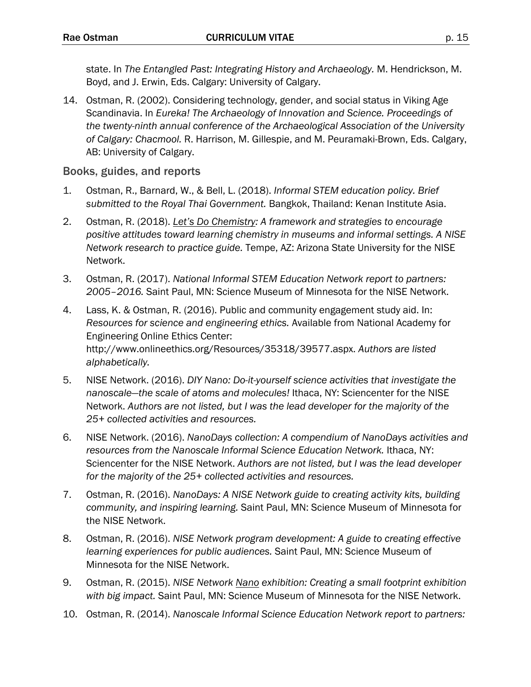state. In *The Entangled Past: Integrating History and Archaeology.* M. Hendrickson, M. Boyd, and J. Erwin, Eds. Calgary: University of Calgary.

14. Ostman, R. (2002). Considering technology, gender, and social status in Viking Age Scandinavia. In *Eureka! The Archaeology of Innovation and Science. Proceedings of the twenty-ninth annual conference of the Archaeological Association of the University of Calgary: Chacmool.* R. Harrison, M. Gillespie, and M. Peuramaki-Brown, Eds. Calgary, AB: University of Calgary.

#### Books, guides, and reports

- 1. Ostman, R., Barnard, W., & Bell, L. (2018). *Informal STEM education policy. Brief submitted to the Royal Thai Government.* Bangkok, Thailand: Kenan Institute Asia.
- 2. Ostman, R. (2018). *Let's Do Chemistry: A framework and strategies to encourage positive attitudes toward learning chemistry in museums and informal settings. A NISE Network research to practice guide.* Tempe, AZ: Arizona State University for the NISE Network.
- 3. Ostman, R. (2017). *National Informal STEM Education Network report to partners: 2005–2016.* Saint Paul, MN: Science Museum of Minnesota for the NISE Network.
- 4. Lass, K. & Ostman, R. (2016). Public and community engagement study aid. In: *Resources for science and engineering ethics.* Available from National Academy for Engineering Online Ethics Center: http://www.onlineethics.org/Resources/35318/39577.aspx. *Authors are listed alphabetically.*
- 5. NISE Network. (2016). *DIY Nano: Do-it-yourself science activities that investigate the nanoscale—the scale of atoms and molecules!* Ithaca, NY: Sciencenter for the NISE Network. *Authors are not listed, but I was the lead developer for the majority of the 25+ collected activities and resources.*
- 6. NISE Network. (2016). *NanoDays collection: A compendium of NanoDays activities and resources from the Nanoscale Informal Science Education Network.* Ithaca, NY: Sciencenter for the NISE Network. *Authors are not listed, but I was the lead developer for the majority of the 25+ collected activities and resources.*
- 7. Ostman, R. (2016). *NanoDays: A NISE Network guide to creating activity kits, building community, and inspiring learning.* Saint Paul, MN: Science Museum of Minnesota for the NISE Network.
- 8. Ostman, R. (2016). *NISE Network program development: A guide to creating effective learning experiences for public audiences.* Saint Paul, MN: Science Museum of Minnesota for the NISE Network.
- 9. Ostman, R. (2015). *NISE Network Nano exhibition: Creating a small footprint exhibition with big impact.* Saint Paul, MN: Science Museum of Minnesota for the NISE Network.
- 10. Ostman, R. (2014). *Nanoscale Informal Science Education Network report to partners:*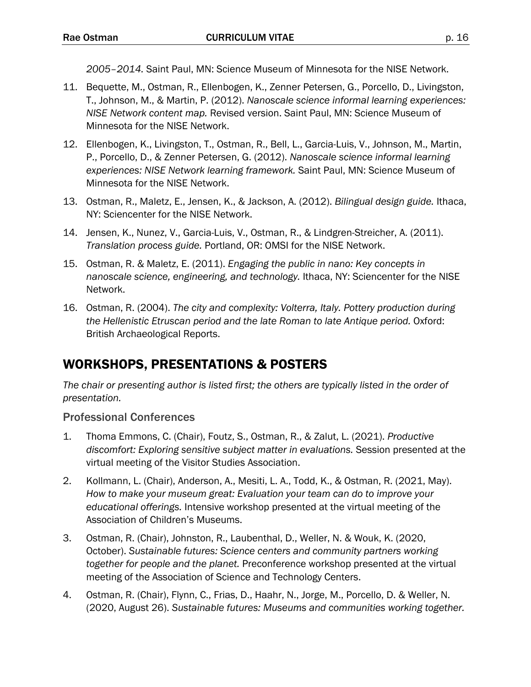*2005–2014.* Saint Paul, MN: Science Museum of Minnesota for the NISE Network.

- 11. Bequette, M., Ostman, R., Ellenbogen, K., Zenner Petersen, G., Porcello, D., Livingston, T., Johnson, M., & Martin, P. (2012). *Nanoscale science informal learning experiences: NISE Network content map.* Revised version. Saint Paul, MN: Science Museum of Minnesota for the NISE Network.
- 12. Ellenbogen, K., Livingston, T., Ostman, R., Bell, L., Garcia-Luis, V., Johnson, M., Martin, P., Porcello, D., & Zenner Petersen, G. (2012). *Nanoscale science informal learning experiences: NISE Network learning framework.* Saint Paul, MN: Science Museum of Minnesota for the NISE Network.
- 13. Ostman, R., Maletz, E., Jensen, K., & Jackson, A. (2012). *Bilingual design guide.* Ithaca, NY: Sciencenter for the NISE Network.
- 14. Jensen, K., Nunez, V., Garcia-Luis, V., Ostman, R., & Lindgren-Streicher, A. (2011). *Translation process guide.* Portland, OR: OMSI for the NISE Network.
- 15. Ostman, R. & Maletz, E. (2011). *Engaging the public in nano: Key concepts in nanoscale science, engineering, and technology.* Ithaca, NY: Sciencenter for the NISE Network.
- 16. Ostman, R. (2004). *The city and complexity: Volterra, Italy. Pottery production during the Hellenistic Etruscan period and the late Roman to late Antique period.* Oxford: British Archaeological Reports.

## WORKSHOPS, PRESENTATIONS & POSTERS

*The chair or presenting author is listed first; the others are typically listed in the order of presentation.* 

### Professional Conferences

- 1. Thoma Emmons, C. (Chair), Foutz, S., Ostman, R., & Zalut, L. (2021). *Productive discomfort: Exploring sensitive subject matter in evaluations.* Session presented at the virtual meeting of the Visitor Studies Association.
- 2. Kollmann, L. (Chair), Anderson, A., Mesiti, L. A., Todd, K., & Ostman, R. (2021, May). *How to make your museum great: Evaluation your team can do to improve your educational offerings.* Intensive workshop presented at the virtual meeting of the Association of Children's Museums.
- 3. Ostman, R. (Chair), Johnston, R., Laubenthal, D., Weller, N. & Wouk, K. (2020, October). *Sustainable futures: Science centers and community partners working together for people and the planet.* Preconference workshop presented at the virtual meeting of the Association of Science and Technology Centers.
- 4. Ostman, R. (Chair), Flynn, C., Frias, D., Haahr, N., Jorge, M., Porcello, D. & Weller, N. (2020, August 26). *Sustainable futures: Museums and communities working together.*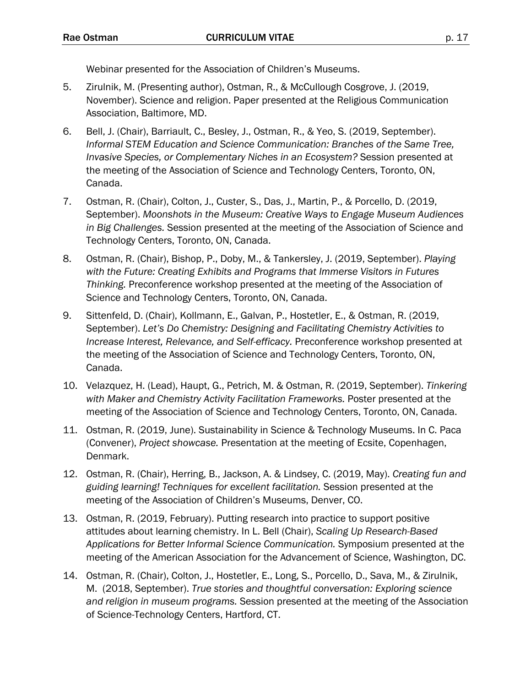Webinar presented for the Association of Children's Museums.

- 5. Zirulnik, M. (Presenting author), Ostman, R., & McCullough Cosgrove, J. (2019, November). Science and religion. Paper presented at the Religious Communication Association, Baltimore, MD.
- 6. Bell, J. (Chair), Barriault, C., Besley, J., Ostman, R., & Yeo, S. (2019, September). *Informal STEM Education and Science Communication: Branches of the Same Tree, Invasive Species, or Complementary Niches in an Ecosystem?* Session presented at the meeting of the Association of Science and Technology Centers, Toronto, ON, Canada.
- 7. Ostman, R. (Chair), Colton, J., Custer, S., Das, J., Martin, P., & Porcello, D. (2019, September). *Moonshots in the Museum: Creative Ways to Engage Museum Audiences in Big Challenges.* Session presented at the meeting of the Association of Science and Technology Centers, Toronto, ON, Canada.
- 8. Ostman, R. (Chair), Bishop, P., Doby, M., & Tankersley, J. (2019, September). *Playing with the Future: Creating Exhibits and Programs that Immerse Visitors in Futures Thinking.* Preconference workshop presented at the meeting of the Association of Science and Technology Centers, Toronto, ON, Canada.
- 9. Sittenfeld, D. (Chair), Kollmann, E., Galvan, P., Hostetler, E., & Ostman, R. (2019, September). *Let's Do Chemistry: Designing and Facilitating Chemistry Activities to Increase Interest, Relevance, and Self-efficacy.* Preconference workshop presented at the meeting of the Association of Science and Technology Centers, Toronto, ON, Canada.
- 10. Velazquez, H. (Lead), Haupt, G., Petrich, M. & Ostman, R. (2019, September). *Tinkering with Maker and Chemistry Activity Facilitation Frameworks.* Poster presented at the meeting of the Association of Science and Technology Centers, Toronto, ON, Canada.
- 11. Ostman, R. (2019, June). Sustainability in Science & Technology Museums. In C. Paca (Convener), *Project showcase.* Presentation at the meeting of Ecsite, Copenhagen, Denmark.
- 12. Ostman, R. (Chair), Herring, B., Jackson, A. & Lindsey, C. (2019, May). *Creating fun and guiding learning! Techniques for excellent facilitation.* Session presented at the meeting of the Association of Children's Museums, Denver, CO.
- 13. Ostman, R. (2019, February). Putting research into practice to support positive attitudes about learning chemistry. In L. Bell (Chair), *Scaling Up Research-Based Applications for Better Informal Science Communication.* Symposium presented at the meeting of the American Association for the Advancement of Science, Washington, DC.
- 14. Ostman, R. (Chair), Colton, J., Hostetler, E., Long, S., Porcello, D., Sava, M., & Zirulnik, M. (2018, September). *True stories and thoughtful conversation: Exploring science and religion in museum programs.* Session presented at the meeting of the Association of Science-Technology Centers, Hartford, CT.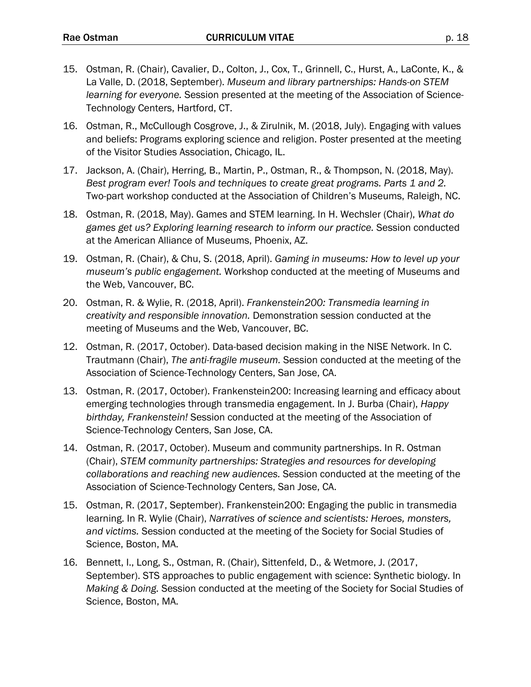- 15. Ostman, R. (Chair), Cavalier, D., Colton, J., Cox, T., Grinnell, C., Hurst, A., LaConte, K., & La Valle, D. (2018, September). *Museum and library partnerships: Hands-on STEM learning for everyone.* Session presented at the meeting of the Association of Science-Technology Centers, Hartford, CT.
- 16. Ostman, R., McCullough Cosgrove, J., & Zirulnik, M. (2018, July). Engaging with values and beliefs: Programs exploring science and religion. Poster presented at the meeting of the Visitor Studies Association, Chicago, IL.
- 17. Jackson, A. (Chair), Herring, B., Martin, P., Ostman, R., & Thompson, N. (2018, May). *Best program ever! Tools and techniques to create great programs. Parts 1 and 2.* Two-part workshop conducted at the Association of Children's Museums, Raleigh, NC.
- 18. Ostman, R. (2018, May). Games and STEM learning. In H. Wechsler (Chair), *What do games get us? Exploring learning research to inform our practice.* Session conducted at the American Alliance of Museums, Phoenix, AZ.
- 19. Ostman, R. (Chair), & Chu, S. (2018, April). *Gaming in museums: How to level up your museum's public engagement.* Workshop conducted at the meeting of Museums and the Web, Vancouver, BC.
- 20. Ostman, R. & Wylie, R. (2018, April). *Frankenstein200: Transmedia learning in creativity and responsible innovation.* Demonstration session conducted at the meeting of Museums and the Web, Vancouver, BC.
- 12. Ostman, R. (2017, October). Data-based decision making in the NISE Network. In C. Trautmann (Chair), *The anti-fragile museum.* Session conducted at the meeting of the Association of Science-Technology Centers, San Jose, CA.
- 13. Ostman, R. (2017, October). Frankenstein200: Increasing learning and efficacy about emerging technologies through transmedia engagement. In J. Burba (Chair), *Happy birthday, Frankenstein!* Session conducted at the meeting of the Association of Science-Technology Centers, San Jose, CA.
- 14. Ostman, R. (2017, October). Museum and community partnerships. In R. Ostman (Chair), *STEM community partnerships: Strategies and resources for developing collaborations and reaching new audiences.* Session conducted at the meeting of the Association of Science-Technology Centers, San Jose, CA.
- 15. Ostman, R. (2017, September). Frankenstein200: Engaging the public in transmedia learning. In R. Wylie (Chair), *Narratives of science and scientists: Heroes, monsters, and victims.* Session conducted at the meeting of the Society for Social Studies of Science, Boston, MA.
- 16. Bennett, I., Long, S., Ostman, R. (Chair), Sittenfeld, D., & Wetmore, J. (2017, September). STS approaches to public engagement with science: Synthetic biology. In *Making & Doing.* Session conducted at the meeting of the Society for Social Studies of Science, Boston, MA.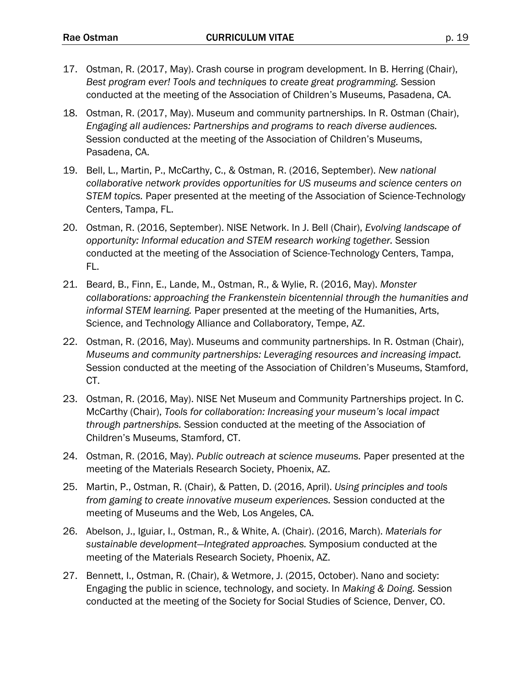- 17. Ostman, R. (2017, May). Crash course in program development. In B. Herring (Chair), *Best program ever! Tools and techniques to create great programming.* Session conducted at the meeting of the Association of Children's Museums, Pasadena, CA.
- 18. Ostman, R. (2017, May). Museum and community partnerships. In R. Ostman (Chair), *Engaging all audiences: Partnerships and programs to reach diverse audiences.* Session conducted at the meeting of the Association of Children's Museums, Pasadena, CA.
- 19. Bell, L., Martin, P., McCarthy, C., & Ostman, R. (2016, September). *New national collaborative network provides opportunities for US museums and science centers on STEM topics.* Paper presented at the meeting of the Association of Science-Technology Centers, Tampa, FL.
- 20. Ostman, R. (2016, September). NISE Network. In J. Bell (Chair), *Evolving landscape of opportunity: Informal education and STEM research working together.* Session conducted at the meeting of the Association of Science-Technology Centers, Tampa, FL.
- 21. Beard, B., Finn, E., Lande, M., Ostman, R., & Wylie, R. (2016, May). *Monster collaborations: approaching the Frankenstein bicentennial through the humanities and informal STEM learning.* Paper presented at the meeting of the Humanities, Arts, Science, and Technology Alliance and Collaboratory, Tempe, AZ.
- 22. Ostman, R. (2016, May). Museums and community partnerships. In R. Ostman (Chair), *Museums and community partnerships: Leveraging resources and increasing impact.* Session conducted at the meeting of the Association of Children's Museums, Stamford, CT.
- 23. Ostman, R. (2016, May). NISE Net Museum and Community Partnerships project. In C. McCarthy (Chair), *Tools for collaboration: Increasing your museum's local impact through partnerships.* Session conducted at the meeting of the Association of Children's Museums, Stamford, CT.
- 24. Ostman, R. (2016, May). *Public outreach at science museums.* Paper presented at the meeting of the Materials Research Society, Phoenix, AZ.
- 25. Martin, P., Ostman, R. (Chair), & Patten, D. (2016, April). *Using principles and tools from gaming to create innovative museum experiences.* Session conducted at the meeting of Museums and the Web, Los Angeles, CA.
- 26. Abelson, J., Iguiar, I., Ostman, R., & White, A. (Chair). (2016, March). *Materials for sustainable development—Integrated approaches.* Symposium conducted at the meeting of the Materials Research Society, Phoenix, AZ.
- 27. Bennett, I., Ostman, R. (Chair), & Wetmore, J. (2015, October). Nano and society: Engaging the public in science, technology, and society. In *Making & Doing.* Session conducted at the meeting of the Society for Social Studies of Science, Denver, CO.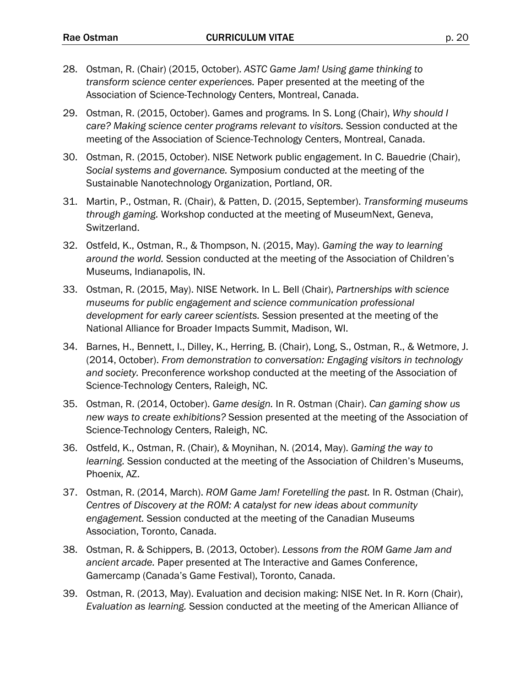- 28. Ostman, R. (Chair) (2015, October). *ASTC Game Jam! Using game thinking to transform science center experiences.* Paper presented at the meeting of the Association of Science-Technology Centers, Montreal, Canada.
- 29. Ostman, R. (2015, October). Games and programs*.* In S. Long (Chair), *Why should I care? Making science center programs relevant to visitors.* Session conducted at the meeting of the Association of Science-Technology Centers, Montreal, Canada.
- 30. Ostman, R. (2015, October). NISE Network public engagement. In C. Bauedrie (Chair), *Social systems and governance.* Symposium conducted at the meeting of the Sustainable Nanotechnology Organization, Portland, OR.
- 31. Martin, P., Ostman, R. (Chair), & Patten, D. (2015, September). *Transforming museums through gaming.* Workshop conducted at the meeting of MuseumNext, Geneva, Switzerland.
- 32. Ostfeld, K., Ostman, R., & Thompson, N. (2015, May). *Gaming the way to learning around the world.* Session conducted at the meeting of the Association of Children's Museums, Indianapolis, IN.
- 33. Ostman, R. (2015, May). NISE Network. In L. Bell (Chair), *Partnerships with science museums for public engagement and science communication professional development for early career scientists.* Session presented at the meeting of the National Alliance for Broader Impacts Summit, Madison, WI.
- 34. Barnes, H., Bennett, I., Dilley, K., Herring, B. (Chair), Long, S., Ostman, R., & Wetmore, J. (2014, October). *From demonstration to conversation: Engaging visitors in technology and society.* Preconference workshop conducted at the meeting of the Association of Science-Technology Centers, Raleigh, NC.
- 35. Ostman, R. (2014, October). *Game design.* In R. Ostman (Chair). *Can gaming show us new ways to create exhibitions?* Session presented at the meeting of the Association of Science-Technology Centers, Raleigh, NC.
- 36. Ostfeld, K., Ostman, R. (Chair), & Moynihan, N. (2014, May). *Gaming the way to learning.* Session conducted at the meeting of the Association of Children's Museums, Phoenix, AZ.
- 37. Ostman, R. (2014, March). *ROM Game Jam! Foretelling the past.* In R. Ostman (Chair), *Centres of Discovery at the ROM: A catalyst for new ideas about community engagement.* Session conducted at the meeting of the Canadian Museums Association, Toronto, Canada.
- 38. Ostman, R. & Schippers, B. (2013, October). *Lessons from the ROM Game Jam and ancient arcade.* Paper presented at The Interactive and Games Conference, Gamercamp (Canada's Game Festival), Toronto, Canada.
- 39. Ostman, R. (2013, May). Evaluation and decision making: NISE Net. In R. Korn (Chair), *Evaluation as learning.* Session conducted at the meeting of the American Alliance of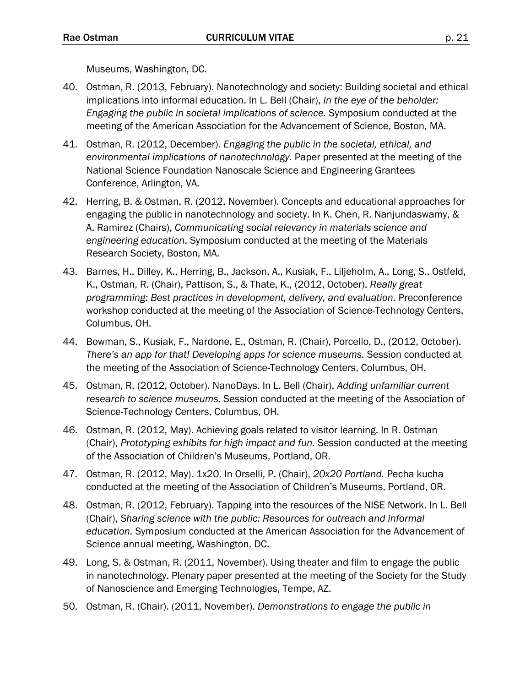Museums, Washington, DC.

- 40. Ostman, R. (2013, February). Nanotechnology and society: Building societal and ethical implications into informal education. In L. Bell (Chair), *In the eye of the beholder: Engaging the public in societal implications of science.* Symposium conducted at the meeting of the American Association for the Advancement of Science, Boston, MA.
- 41. Ostman, R. (2012, December). *Engaging the public in the societal, ethical, and environmental implications of nanotechnology.* Paper presented at the meeting of the National Science Foundation Nanoscale Science and Engineering Grantees Conference, Arlington, VA.
- 42. Herring, B. & Ostman, R. (2012, November). Concepts and educational approaches for engaging the public in nanotechnology and society. In K. Chen, R. Nanjundaswamy, & A. Ramirez (Chairs), *Communicating social relevancy in materials science and engineering education*. Symposium conducted at the meeting of the Materials Research Society, Boston, MA.
- 43. Barnes, H., Dilley, K., Herring, B., Jackson, A., Kusiak, F., Liljeholm, A., Long, S., Ostfeld, K., Ostman, R. (Chair), Pattison, S., & Thate, K., (2012, October). *Really great programming: Best practices in development, delivery, and evaluation.* Preconference workshop conducted at the meeting of the Association of Science-Technology Centers, Columbus, OH.
- 44. Bowman, S., Kusiak, F., Nardone, E., Ostman, R. (Chair), Porcello, D., (2012, October). *There's an app for that! Developing apps for science museums.* Session conducted at the meeting of the Association of Science-Technology Centers, Columbus, OH.
- 45. Ostman, R. (2012, October). NanoDays. In L. Bell (Chair), *Adding unfamiliar current research to science museums.* Session conducted at the meeting of the Association of Science-Technology Centers, Columbus, OH.
- 46. Ostman, R. (2012, May). Achieving goals related to visitor learning. In R. Ostman (Chair), *Prototyping exhibits for high impact and fun.* Session conducted at the meeting of the Association of Children's Museums, Portland, OR.
- 47. Ostman, R. (2012, May). 1x20. In Orselli, P. (Chair), *20x20 Portland.* Pecha kucha conducted at the meeting of the Association of Children's Museums, Portland, OR.
- 48. Ostman, R. (2012, February). Tapping into the resources of the NISE Network. In L. Bell (Chair), *Sharing science with the public: Resources for outreach and informal education.* Symposium conducted at the American Association for the Advancement of Science annual meeting, Washington, DC.
- 49. Long, S. & Ostman, R. (2011, November). Using theater and film to engage the public in nanotechnology. Plenary paper presented at the meeting of the Society for the Study of Nanoscience and Emerging Technologies, Tempe, AZ.
- 50. Ostman, R. (Chair). (2011, November). *Demonstrations to engage the public in*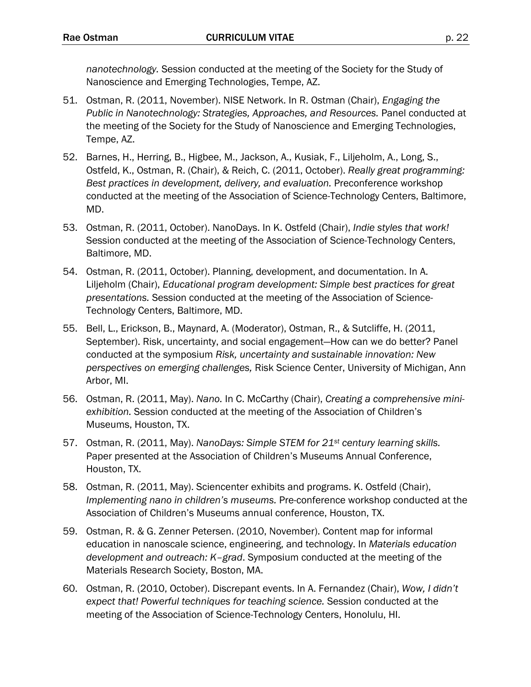*nanotechnology.* Session conducted at the meeting of the Society for the Study of Nanoscience and Emerging Technologies, Tempe, AZ.

- 51. Ostman, R. (2011, November). NISE Network. In R. Ostman (Chair), *Engaging the Public in Nanotechnology: Strategies, Approaches, and Resources.* Panel conducted at the meeting of the Society for the Study of Nanoscience and Emerging Technologies, Tempe, AZ.
- 52. Barnes, H., Herring, B., Higbee, M., Jackson, A., Kusiak, F., Liljeholm, A., Long, S., Ostfeld, K., Ostman, R. (Chair), & Reich, C. (2011, October). *Really great programming: Best practices in development, delivery, and evaluation.* Preconference workshop conducted at the meeting of the Association of Science-Technology Centers, Baltimore, MD.
- 53. Ostman, R. (2011, October). NanoDays. In K. Ostfeld (Chair), *Indie styles that work!* Session conducted at the meeting of the Association of Science-Technology Centers, Baltimore, MD.
- 54. Ostman, R. (2011, October). Planning, development, and documentation. In A. Liljeholm (Chair), *Educational program development: Simple best practices for great presentations.* Session conducted at the meeting of the Association of Science-Technology Centers, Baltimore, MD.
- 55. Bell, L., Erickson, B., Maynard, A. (Moderator), Ostman, R., & Sutcliffe, H. (2011, September). Risk, uncertainty, and social engagement—How can we do better? Panel conducted at the symposium *Risk, uncertainty and sustainable innovation: New perspectives on emerging challenges,* Risk Science Center, University of Michigan, Ann Arbor, MI.
- 56. Ostman, R. (2011, May). *Nano.* In C. McCarthy (Chair), *Creating a comprehensive miniexhibition.* Session conducted at the meeting of the Association of Children's Museums, Houston, TX.
- 57. Ostman, R. (2011, May). *NanoDays: Simple STEM for 21st century learning skills.* Paper presented at the Association of Children's Museums Annual Conference, Houston, TX.
- 58. Ostman, R. (2011, May). Sciencenter exhibits and programs. K. Ostfeld (Chair), *Implementing nano in children's museums.* Pre-conference workshop conducted at the Association of Children's Museums annual conference, Houston, TX.
- 59. Ostman, R. & G. Zenner Petersen. (2010, November). Content map for informal education in nanoscale science, engineering, and technology. In *Materials education development and outreach: K–grad*. Symposium conducted at the meeting of the Materials Research Society, Boston, MA.
- 60. Ostman, R. (2010, October). Discrepant events. In A. Fernandez (Chair), *Wow, I didn't expect that! Powerful techniques for teaching science.* Session conducted at the meeting of the Association of Science-Technology Centers, Honolulu, HI.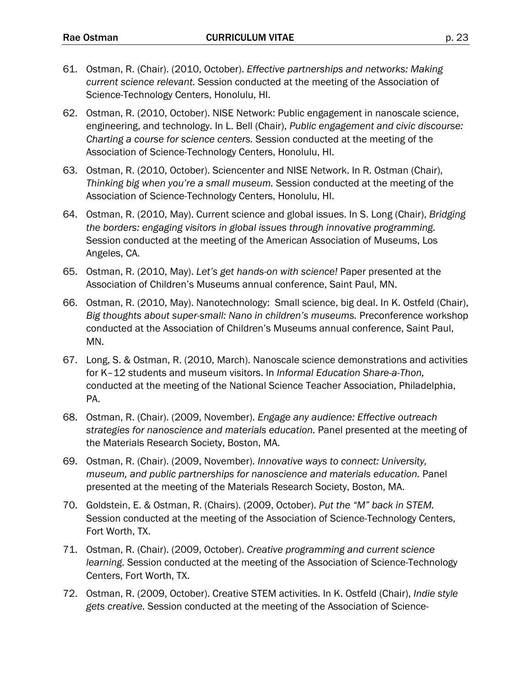- 61. Ostman, R. (Chair). (2010, October). *Effective partnerships and networks: Making current science relevant.* Session conducted at the meeting of the Association of Science-Technology Centers, Honolulu, HI.
- 62. Ostman, R. (2010, October). NISE Network: Public engagement in nanoscale science, engineering, and technology. In L. Bell (Chair), *Public engagement and civic discourse: Charting a course for science centers.* Session conducted at the meeting of the Association of Science-Technology Centers, Honolulu, HI.
- 63. Ostman, R. (2010, October). Sciencenter and NISE Network. In R. Ostman (Chair), *Thinking big when you're a small museum.* Session conducted at the meeting of the Association of Science-Technology Centers, Honolulu, HI.
- 64. Ostman, R. (2010, May). Current science and global issues. In S. Long (Chair), *Bridging the borders: engaging visitors in global issues through innovative programming.* Session conducted at the meeting of the American Association of Museums, Los Angeles, CA.
- 65. Ostman, R. (2010, May). *Let's get hands-on with science!* Paper presented at the Association of Children's Museums annual conference, Saint Paul, MN.
- 66. Ostman, R. (2010, May). Nanotechnology: Small science, big deal. In K. Ostfeld (Chair), *Big thoughts about super-small: Nano in children's museums.* Preconference workshop conducted at the Association of Children's Museums annual conference, Saint Paul, MN.
- 67. Long, S. & Ostman, R. (2010, March). Nanoscale science demonstrations and activities for K–12 students and museum visitors. In *Informal Education Share-a-Thon,* conducted at the meeting of the National Science Teacher Association, Philadelphia, PA.
- 68. Ostman, R. (Chair). (2009, November). *Engage any audience: Effective outreach strategies for nanoscience and materials education.* Panel presented at the meeting of the Materials Research Society, Boston, MA.
- 69. Ostman, R. (Chair). (2009, November). *Innovative ways to connect: University, museum, and public partnerships for nanoscience and materials education.* Panel presented at the meeting of the Materials Research Society, Boston, MA.
- 70. Goldstein, E. & Ostman, R. (Chairs). (2009, October). *Put the "M" back in STEM.* Session conducted at the meeting of the Association of Science-Technology Centers, Fort Worth, TX.
- 71. Ostman, R. (Chair). (2009, October). *Creative programming and current science learning.* Session conducted at the meeting of the Association of Science-Technology Centers, Fort Worth, TX.
- 72. Ostman, R. (2009, October). Creative STEM activities. In K. Ostfeld (Chair), *Indie style gets creative.* Session conducted at the meeting of the Association of Science-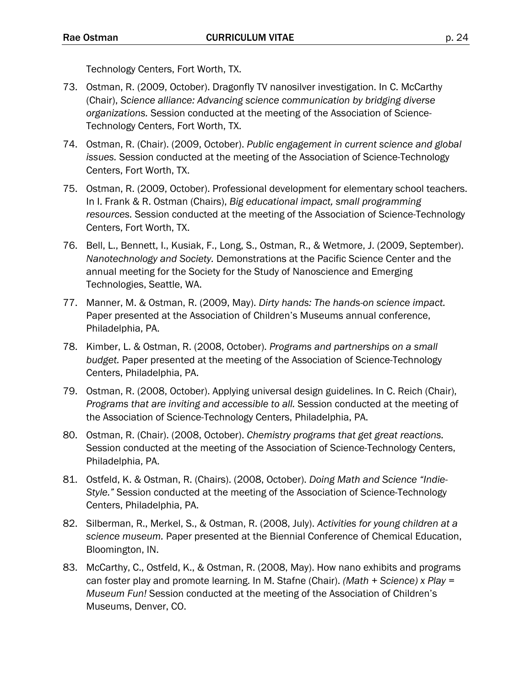Technology Centers, Fort Worth, TX.

- 73. Ostman, R. (2009, October). Dragonfly TV nanosilver investigation. In C. McCarthy (Chair), *Science alliance: Advancing science communication by bridging diverse organizations.* Session conducted at the meeting of the Association of Science-Technology Centers, Fort Worth, TX.
- 74. Ostman, R. (Chair). (2009, October). *Public engagement in current science and global issues.* Session conducted at the meeting of the Association of Science-Technology Centers, Fort Worth, TX.
- 75. Ostman, R. (2009, October). Professional development for elementary school teachers. In I. Frank & R. Ostman (Chairs), *Big educational impact, small programming resources.* Session conducted at the meeting of the Association of Science-Technology Centers, Fort Worth, TX.
- 76. Bell, L., Bennett, I., Kusiak, F., Long, S., Ostman, R., & Wetmore, J. (2009, September). *Nanotechnology and Society.* Demonstrations at the Pacific Science Center and the annual meeting for the Society for the Study of Nanoscience and Emerging Technologies, Seattle, WA.
- 77. Manner, M. & Ostman, R. (2009, May). *Dirty hands: The hands-on science impact.* Paper presented at the Association of Children's Museums annual conference, Philadelphia, PA.
- 78. Kimber, L. & Ostman, R. (2008, October). *Programs and partnerships on a small budget.* Paper presented at the meeting of the Association of Science-Technology Centers, Philadelphia, PA.
- 79. Ostman, R. (2008, October). Applying universal design guidelines. In C. Reich (Chair), *Programs that are inviting and accessible to all.* Session conducted at the meeting of the Association of Science-Technology Centers, Philadelphia, PA.
- 80. Ostman, R. (Chair). (2008, October). *Chemistry programs that get great reactions.* Session conducted at the meeting of the Association of Science-Technology Centers, Philadelphia, PA.
- 81. Ostfeld, K. & Ostman, R. (Chairs). (2008, October). *Doing Math and Science "Indie-Style."* Session conducted at the meeting of the Association of Science-Technology Centers, Philadelphia, PA.
- 82. Silberman, R., Merkel, S., & Ostman, R. (2008, July). *Activities for young children at a science museum.* Paper presented at the Biennial Conference of Chemical Education, Bloomington, IN.
- 83. McCarthy, C., Ostfeld, K., & Ostman, R. (2008, May). How nano exhibits and programs can foster play and promote learning. In M. Stafne (Chair). *(Math + Science) x Play = Museum Fun!* Session conducted at the meeting of the Association of Children's Museums, Denver, CO.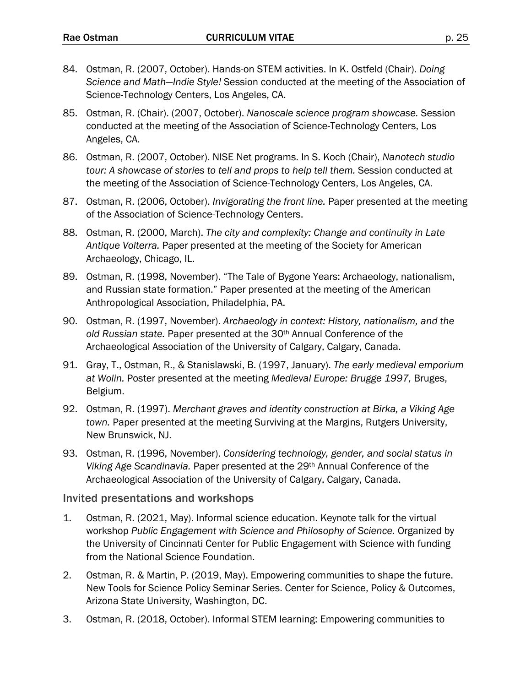- 84. Ostman, R. (2007, October). Hands-on STEM activities. In K. Ostfeld (Chair). *Doing Science and Math—Indie Style!* Session conducted at the meeting of the Association of Science-Technology Centers, Los Angeles, CA.
- 85. Ostman, R. (Chair). (2007, October). *Nanoscale science program showcase.* Session conducted at the meeting of the Association of Science-Technology Centers, Los Angeles, CA.
- 86. Ostman, R. (2007, October). NISE Net programs. In S. Koch (Chair), *Nanotech studio tour: A showcase of stories to tell and props to help tell them.* Session conducted at the meeting of the Association of Science-Technology Centers, Los Angeles, CA.
- 87. Ostman, R. (2006, October). *Invigorating the front line.* Paper presented at the meeting of the Association of Science-Technology Centers.
- 88. Ostman, R. (2000, March). *The city and complexity: Change and continuity in Late Antique Volterra.* Paper presented at the meeting of the Society for American Archaeology, Chicago, IL.
- 89. Ostman, R. (1998, November). "The Tale of Bygone Years: Archaeology, nationalism, and Russian state formation." Paper presented at the meeting of the American Anthropological Association, Philadelphia, PA.
- 90. Ostman, R. (1997, November). *Archaeology in context: History, nationalism, and the old Russian state.* Paper presented at the 30th Annual Conference of the Archaeological Association of the University of Calgary, Calgary, Canada.
- 91. Gray, T., Ostman, R., & Stanislawski, B. (1997, January). *The early medieval emporium at Wolin.* Poster presented at the meeting *Medieval Europe: Brugge 1997,* Bruges, Belgium.
- 92. Ostman, R. (1997). *Merchant graves and identity construction at Birka, a Viking Age town.* Paper presented at the meeting Surviving at the Margins, Rutgers University, New Brunswick, NJ.
- 93. Ostman, R. (1996, November). *Considering technology, gender, and social status in Viking Age Scandinavia.* Paper presented at the 29th Annual Conference of the Archaeological Association of the University of Calgary, Calgary, Canada.

#### Invited presentations and workshops

- 1. Ostman, R. (2021, May). Informal science education. Keynote talk for the virtual workshop *Public Engagement with Science and Philosophy of Science.* Organized by the University of Cincinnati Center for Public Engagement with Science with funding from the National Science Foundation.
- 2. Ostman, R. & Martin, P. (2019, May). Empowering communities to shape the future. New Tools for Science Policy Seminar Series. Center for Science, Policy & Outcomes, Arizona State University, Washington, DC.
- 3. Ostman, R. (2018, October). Informal STEM learning: Empowering communities to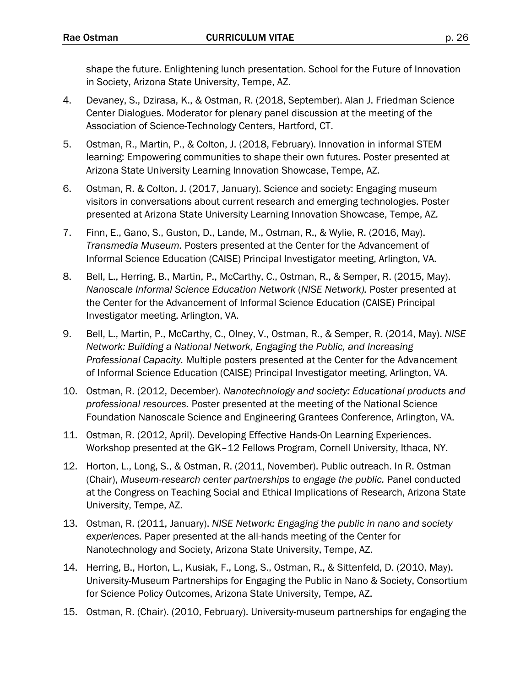shape the future. Enlightening lunch presentation. School for the Future of Innovation in Society, Arizona State University, Tempe, AZ.

- 4. Devaney, S., Dzirasa, K., & Ostman, R. (2018, September). Alan J. Friedman Science Center Dialogues. Moderator for plenary panel discussion at the meeting of the Association of Science-Technology Centers, Hartford, CT.
- 5. Ostman, R., Martin, P., & Colton, J. (2018, February). Innovation in informal STEM learning: Empowering communities to shape their own futures. Poster presented at Arizona State University Learning Innovation Showcase, Tempe, AZ*.*
- 6. Ostman, R. & Colton, J. (2017, January). Science and society: Engaging museum visitors in conversations about current research and emerging technologies. Poster presented at Arizona State University Learning Innovation Showcase, Tempe, AZ*.*
- 7. Finn, E., Gano, S., Guston, D., Lande, M., Ostman, R., & Wylie, R. (2016, May). *Transmedia Museum.* Posters presented at the Center for the Advancement of Informal Science Education (CAISE) Principal Investigator meeting, Arlington, VA.
- 8. Bell, L., Herring, B., Martin, P., McCarthy, C., Ostman, R., & Semper, R. (2015, May). *Nanoscale Informal Science Education Network* (*NISE Network).* Poster presented at the Center for the Advancement of Informal Science Education (CAISE) Principal Investigator meeting, Arlington, VA.
- 9. Bell, L., Martin, P., McCarthy, C., Olney, V., Ostman, R., & Semper, R. (2014, May). *NISE Network: Building a National Network, Engaging the Public, and Increasing Professional Capacity.* Multiple posters presented at the Center for the Advancement of Informal Science Education (CAISE) Principal Investigator meeting, Arlington, VA.
- 10. Ostman, R. (2012, December). *Nanotechnology and society: Educational products and professional resources.* Poster presented at the meeting of the National Science Foundation Nanoscale Science and Engineering Grantees Conference, Arlington, VA.
- 11. Ostman, R. (2012, April). Developing Effective Hands-On Learning Experiences. Workshop presented at the GK–12 Fellows Program, Cornell University, Ithaca, NY.
- 12. Horton, L., Long, S., & Ostman, R. (2011, November). Public outreach. In R. Ostman (Chair), *Museum-research center partnerships to engage the public.* Panel conducted at the Congress on Teaching Social and Ethical Implications of Research, Arizona State University, Tempe, AZ.
- 13. Ostman, R. (2011, January). *NISE Network: Engaging the public in nano and society experiences.* Paper presented at the all-hands meeting of the Center for Nanotechnology and Society, Arizona State University, Tempe, AZ.
- 14. Herring, B., Horton, L., Kusiak, F., Long, S., Ostman, R., & Sittenfeld, D. (2010, May). University-Museum Partnerships for Engaging the Public in Nano & Society, Consortium for Science Policy Outcomes, Arizona State University, Tempe, AZ.
- 15. Ostman, R. (Chair). (2010, February). University-museum partnerships for engaging the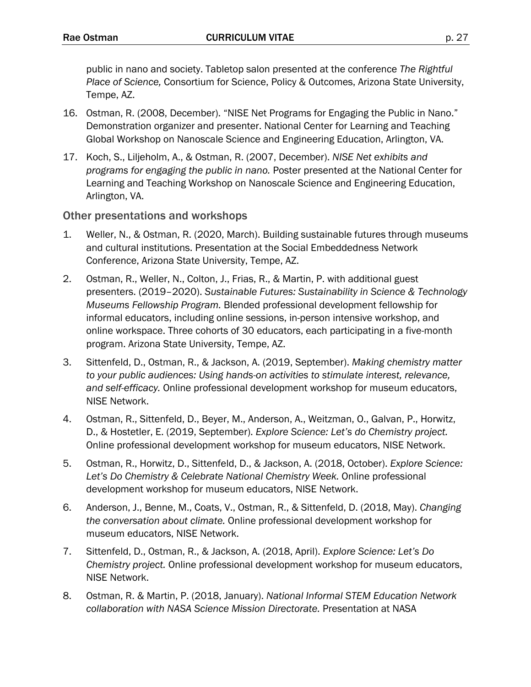public in nano and society. Tabletop salon presented at the conference *The Rightful Place of Science,* Consortium for Science, Policy & Outcomes, Arizona State University, Tempe, AZ.

- 16. Ostman, R. (2008, December). "NISE Net Programs for Engaging the Public in Nano." Demonstration organizer and presenter. National Center for Learning and Teaching Global Workshop on Nanoscale Science and Engineering Education, Arlington, VA.
- 17. Koch, S., Liljeholm, A., & Ostman, R. (2007, December). *NISE Net exhibits and programs for engaging the public in nano.* Poster presented at the National Center for Learning and Teaching Workshop on Nanoscale Science and Engineering Education, Arlington, VA.

#### Other presentations and workshops

- 1. Weller, N., & Ostman, R. (2020, March). Building sustainable futures through museums and cultural institutions. Presentation at the Social Embeddedness Network Conference, Arizona State University, Tempe, AZ.
- 2. Ostman, R., Weller, N., Colton, J., Frias, R., & Martin, P. with additional guest presenters. (2019–2020). *Sustainable Futures: Sustainability in Science & Technology Museums Fellowship Program.* Blended professional development fellowship for informal educators, including online sessions, in-person intensive workshop, and online workspace. Three cohorts of 30 educators, each participating in a five-month program. Arizona State University, Tempe, AZ.
- 3. Sittenfeld, D., Ostman, R., & Jackson, A. (2019, September). *Making chemistry matter to your public audiences: Using hands-on activities to stimulate interest, relevance, and self-efficacy.* Online professional development workshop for museum educators, NISE Network.
- 4. Ostman, R., Sittenfeld, D., Beyer, M., Anderson, A., Weitzman, O., Galvan, P., Horwitz, D., & Hostetler, E. (2019, September). *Explore Science: Let's do Chemistry project.*  Online professional development workshop for museum educators, NISE Network.
- 5. Ostman, R., Horwitz, D., Sittenfeld, D., & Jackson, A. (2018, October). *Explore Science: Let's Do Chemistry & Celebrate National Chemistry Week.* Online professional development workshop for museum educators, NISE Network.
- 6. Anderson, J., Benne, M., Coats, V., Ostman, R., & Sittenfeld, D. (2018, May). *Changing the conversation about climate.* Online professional development workshop for museum educators, NISE Network.
- 7. Sittenfeld, D., Ostman, R., & Jackson, A. (2018, April). *Explore Science: Let's Do Chemistry project.* Online professional development workshop for museum educators, NISE Network.
- 8. Ostman, R. & Martin, P. (2018, January). *National Informal STEM Education Network collaboration with NASA Science Mission Directorate.* Presentation at NASA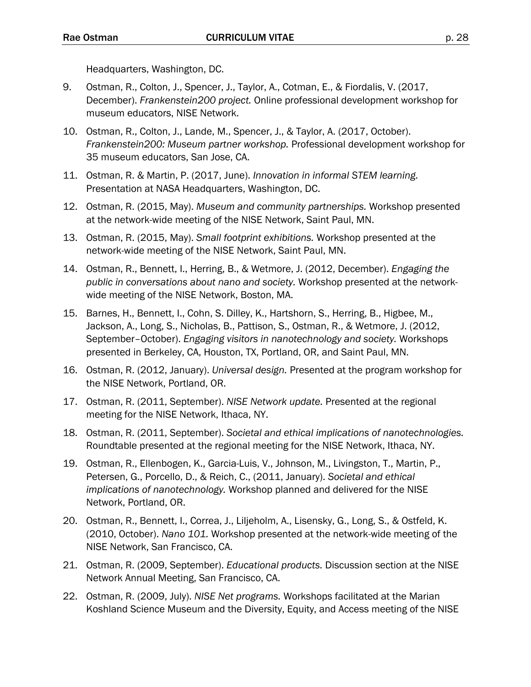Headquarters, Washington, DC.

- 9. Ostman, R., Colton, J., Spencer, J., Taylor, A., Cotman, E., & Fiordalis, V. (2017, December). *Frankenstein200 project.* Online professional development workshop for museum educators, NISE Network.
- 10. Ostman, R., Colton, J., Lande, M., Spencer, J., & Taylor, A. (2017, October). *Frankenstein200: Museum partner workshop.* Professional development workshop for 35 museum educators, San Jose, CA.
- 11. Ostman, R. & Martin, P. (2017, June). *Innovation in informal STEM learning.* Presentation at NASA Headquarters, Washington, DC.
- 12. Ostman, R. (2015, May). *Museum and community partnerships.* Workshop presented at the network-wide meeting of the NISE Network, Saint Paul, MN.
- 13. Ostman, R. (2015, May). *Small footprint exhibitions.* Workshop presented at the network-wide meeting of the NISE Network, Saint Paul, MN.
- 14. Ostman, R., Bennett, I., Herring, B., & Wetmore, J. (2012, December). *Engaging the public in conversations about nano and society.* Workshop presented at the networkwide meeting of the NISE Network, Boston, MA.
- 15. Barnes, H., Bennett, I., Cohn, S. Dilley, K., Hartshorn, S., Herring, B., Higbee, M., Jackson, A., Long, S., Nicholas, B., Pattison, S., Ostman, R., & Wetmore, J. (2012, September–October). *Engaging visitors in nanotechnology and society.* Workshops presented in Berkeley, CA, Houston, TX, Portland, OR, and Saint Paul, MN.
- 16. Ostman, R. (2012, January). *Universal design.* Presented at the program workshop for the NISE Network, Portland, OR.
- 17. Ostman, R. (2011, September). *NISE Network update.* Presented at the regional meeting for the NISE Network, Ithaca, NY.
- 18. Ostman, R. (2011, September). *Societal and ethical implications of nanotechnologies.* Roundtable presented at the regional meeting for the NISE Network, Ithaca, NY.
- 19. Ostman, R., Ellenbogen, K., Garcia-Luis, V., Johnson, M., Livingston, T., Martin, P., Petersen, G., Porcello, D., & Reich, C., (2011, January). *Societal and ethical implications of nanotechnology.* Workshop planned and delivered for the NISE Network, Portland, OR.
- 20. Ostman, R., Bennett, I., Correa, J., Liljeholm, A., Lisensky, G., Long, S., & Ostfeld, K. (2010, October). *Nano 101.* Workshop presented at the network-wide meeting of the NISE Network, San Francisco, CA.
- 21. Ostman, R. (2009, September). *Educational products.* Discussion section at the NISE Network Annual Meeting, San Francisco, CA.
- 22. Ostman, R. (2009, July). *NISE Net programs.* Workshops facilitated at the Marian Koshland Science Museum and the Diversity, Equity, and Access meeting of the NISE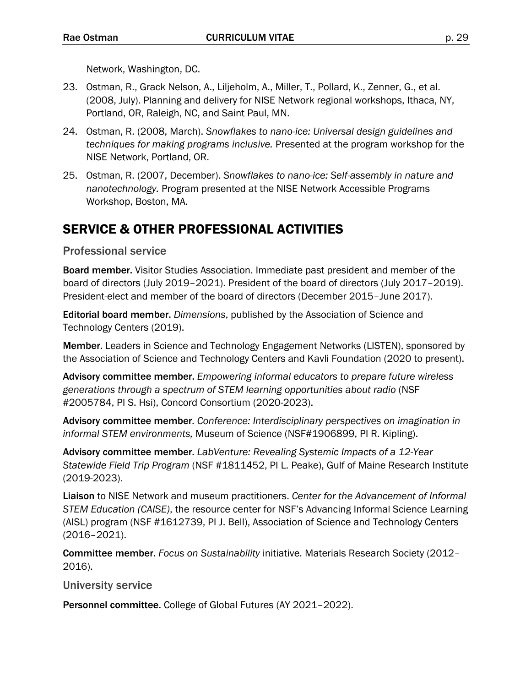Network, Washington, DC.

- 23. Ostman, R., Grack Nelson, A., Liljeholm, A., Miller, T., Pollard, K., Zenner, G., et al. (2008, July). Planning and delivery for NISE Network regional workshops, Ithaca, NY, Portland, OR, Raleigh, NC, and Saint Paul, MN.
- 24. Ostman, R. (2008, March). *Snowflakes to nano-ice: Universal design guidelines and techniques for making programs inclusive.* Presented at the program workshop for the NISE Network, Portland, OR.
- 25. Ostman, R. (2007, December). *Snowflakes to nano-ice: Self-assembly in nature and nanotechnology.* Program presented at the NISE Network Accessible Programs Workshop, Boston, MA.

## SERVICE & OTHER PROFESSIONAL ACTIVITIES

Professional service

Board member. Visitor Studies Association. Immediate past president and member of the board of directors (July 2019–2021). President of the board of directors (July 2017–2019). President-elect and member of the board of directors (December 2015–June 2017).

Editorial board member. *Dimensions*, published by the Association of Science and Technology Centers (2019).

Member. Leaders in Science and Technology Engagement Networks (LISTEN), sponsored by the Association of Science and Technology Centers and Kavli Foundation (2020 to present).

Advisory committee member. *Empowering informal educators to prepare future wireless generations through a spectrum of STEM learning opportunities about radio* (NSF #2005784, PI S. Hsi), Concord Consortium (2020-2023).

Advisory committee member. *Conference: Interdisciplinary perspectives on imagination in informal STEM environments,* Museum of Science (NSF#1906899, PI R. Kipling).

Advisory committee member. *LabVenture: Revealing Systemic Impacts of a 12-Year Statewide Field Trip Program* (NSF #1811452, PI L. Peake), Gulf of Maine Research Institute (2019-2023).

Liaison to NISE Network and museum practitioners. *Center for the Advancement of Informal STEM Education (CAISE)*, the resource center for NSF's Advancing Informal Science Learning (AISL) program (NSF #1612739, PI J. Bell), Association of Science and Technology Centers (2016–2021).

Committee member. *Focus on Sustainability* initiative*.* Materials Research Society (2012– 2016).

University service

Personnel committee. College of Global Futures (AY 2021–2022).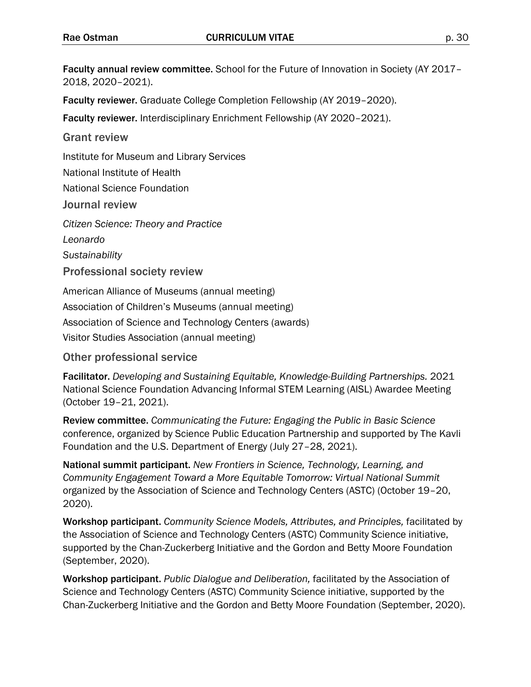Faculty annual review committee. School for the Future of Innovation in Society (AY 2017– 2018, 2020–2021).

Faculty reviewer. Graduate College Completion Fellowship (AY 2019–2020).

Faculty reviewer. Interdisciplinary Enrichment Fellowship (AY 2020–2021).

Grant review

Institute for Museum and Library Services

National Institute of Health

National Science Foundation

Journal review

*Citizen Science: Theory and Practice Leonardo*

*Sustainability*

Professional society review

American Alliance of Museums (annual meeting) Association of Children's Museums (annual meeting)

Association of Science and Technology Centers (awards)

Visitor Studies Association (annual meeting)

Other professional service

Facilitator. *Developing and Sustaining Equitable, Knowledge-Building Partnerships.* 2021 National Science Foundation Advancing Informal STEM Learning (AISL) Awardee Meeting (October 19–21, 2021).

Review committee. *Communicating the Future: Engaging the Public in Basic Science*  conference, organized by Science Public Education Partnership and supported by The Kavli Foundation and the U.S. Department of Energy (July 27–28, 2021).

National summit participant. *New Frontiers in Science, Technology, Learning, and Community Engagement Toward a More Equitable Tomorrow: Virtual National Summit*  organized by the Association of Science and Technology Centers (ASTC) (October 19–20, 2020).

Workshop participant. *Community Science Models, Attributes, and Principles,* facilitated by the Association of Science and Technology Centers (ASTC) Community Science initiative, supported by the Chan-Zuckerberg Initiative and the Gordon and Betty Moore Foundation (September, 2020).

Workshop participant. *Public Dialogue and Deliberation,* facilitated by the Association of Science and Technology Centers (ASTC) Community Science initiative, supported by the Chan-Zuckerberg Initiative and the Gordon and Betty Moore Foundation (September, 2020).